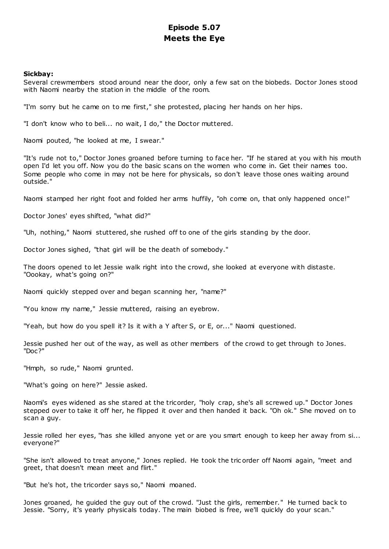# **Episode 5.07 Meets the Eye**

# **Sickbay:**

Several crewmembers stood around near the door, only a few sat on the biobeds. Doctor Jones stood with Naomi nearby the station in the middle of the room.

"I'm sorry but he came on to me first," she protested, placing her hands on her hips.

"I don't know who to beli... no wait, I do," the Doctor muttered.

Naomi pouted, "he looked at me, I swear."

"It's rude not to," Doctor Jones groaned before turning to face her. "If he stared at you with his mouth open I'd let you off. Now you do the basic scans on the women who come in. Get their names too. Some people who come in may not be here for physicals, so don't leave those ones waiting around outside."

Naomi stamped her right foot and folded her arms huffily, "oh come on, that only happened once!"

Doctor Jones' eyes shifted, "what did?"

"Uh, nothing," Naomi stuttered, she rushed off to one of the girls standing by the door.

Doctor Jones sighed, "that girl will be the death of somebody."

The doors opened to let Jessie walk right into the crowd, she looked at everyone with distaste. "Oookay, what's going on?"

Naomi quickly stepped over and began scanning her, "name?"

"You know my name," Jessie muttered, raising an eyebrow.

"Yeah, but how do you spell it? Is it with a Y after S, or E, or..." Naomi questioned.

Jessie pushed her out of the way, as well as other members of the crowd to get through to Jones. "Doc?"

"Hmph, so rude," Naomi grunted.

"What's going on here?" Jessie asked.

Naomi's eyes widened as she stared at the tricorder, "holy crap, she's all screwed up." Doctor Jones stepped over to take it off her, he flipped it over and then handed it back. "Oh ok." She moved on to scan a guy.

Jessie rolled her eyes, "has she killed anyone yet or are you smart enough to keep her away from si... everyone?"

"She isn't allowed to treat anyone," Jones replied. He took the tric order off Naomi again, "meet and greet, that doesn't mean meet and flirt."

"But he's hot, the tricorder says so," Naomi moaned.

Jones groaned, he guided the guy out of the crowd. "Just the girls, remember." He turned back to Jessie. "Sorry, it's yearly physicals today. The main biobed is free, we'll quickly do your scan."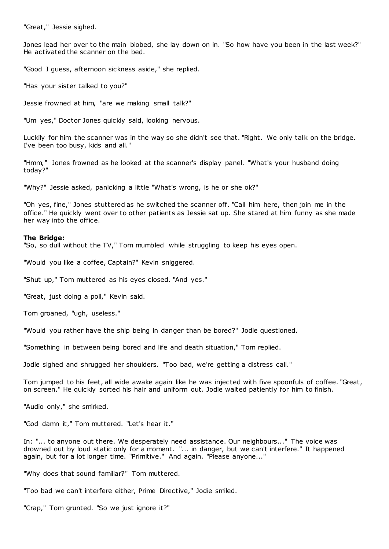"Great," Jessie sighed.

Jones lead her over to the main biobed, she lay down on in. "So how have you been in the last week?" He activated the scanner on the bed.

"Good I guess, afternoon sickness aside," she replied.

"Has your sister talked to you?"

Jessie frowned at him, "are we making small talk?"

"Um yes," Doctor Jones quickly said, looking nervous.

Luckily for him the scanner was in the way so she didn't see that. "Right. We only talk on the bridge. I've been too busy, kids and all."

"Hmm," Jones frowned as he looked at the scanner's display panel. "What's your husband doing today?"

"Why?" Jessie asked, panicking a little "What's wrong, is he or she ok?"

"Oh yes, fine," Jones stuttered as he switched the scanner off. "Call him here, then join me in the office." He quickly went over to other patients as Jessie sat up. She stared at him funny as she made her way into the office.

## **The Bridge:**

"So, so dull without the TV," Tom mumbled while struggling to keep his eyes open.

"Would you like a coffee, Captain?" Kevin sniggered.

"Shut up," Tom muttered as his eyes closed. "And yes."

"Great, just doing a poll," Kevin said.

Tom groaned, "ugh, useless."

"Would you rather have the ship being in danger than be bored?" Jodie questioned.

"Something in between being bored and life and death situation," Tom replied.

Jodie sighed and shrugged her shoulders. "Too bad, we're getting a distress call."

Tom jumped to his feet, all wide awake again like he was injected with five spoonfuls of coffee. "Great, on screen." He quickly sorted his hair and uniform out. Jodie waited patiently for him to finish.

"Audio only," she smirked.

"God damn it," Tom muttered. "Let's hear it."

In: "... to anyone out there. We desperately need assistance. Our neighbours..." The voice was drowned out by loud static only for a moment. "... in danger, but we can't interfere." It happened again, but for a lot longer time. "Primitive." And again. "Please anyone..."

"Why does that sound familiar?" Tom muttered.

"Too bad we can't interfere either, Prime Directive," Jodie smiled.

"Crap," Tom grunted. "So we just ignore it?"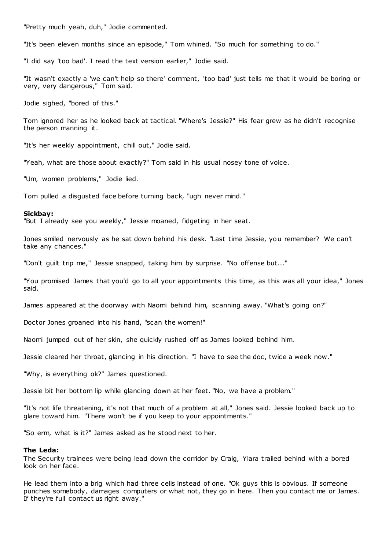"Pretty much yeah, duh," Jodie commented.

"It's been eleven months since an episode," Tom whined. "So much for something to do."

"I did say 'too bad'. I read the text version earlier," Jodie said.

"It wasn't exactly a 'we can't help so there' comment, 'too bad' just tells me that it would be boring or very, very dangerous," Tom said.

Jodie sighed, "bored of this."

Tom ignored her as he looked back at tactical. "Where's Jessie?" His fear grew as he didn't recognise the person manning it.

"It's her weekly appointment, chill out," Jodie said.

"Yeah, what are those about exactly?" Tom said in his usual nosey tone of voice.

"Um, women problems," Jodie lied.

Tom pulled a disgusted face before turning back, "ugh never mind."

#### **Sickbay:**

"But I already see you weekly," Jessie moaned, fidgeting in her seat.

Jones smiled nervously as he sat down behind his desk. "Last time Jessie, you remember? We can't take any chances."

"Don't guilt trip me," Jessie snapped, taking him by surprise. "No offense but..."

"You promised James that you'd go to all your appointments this time, as this was all your idea," Jones said.

James appeared at the doorway with Naomi behind him, scanning away. "What's going on?"

Doctor Jones groaned into his hand, "scan the women!"

Naomi jumped out of her skin, she quickly rushed off as James looked behind him.

Jessie cleared her throat, glancing in his direction. "I have to see the doc, twice a week now."

"Why, is everything ok?" James questioned.

Jessie bit her bottom lip while glancing down at her feet. "No, we have a problem."

"It's not life threatening, it's not that much of a problem at all," Jones said. Jessie looked back up to glare toward him. "There won't be if you keep to your appointments."

"So erm, what is it?" James asked as he stood next to her.

#### **The Leda:**

The Security trainees were being lead down the corridor by Craig, Ylara trailed behind with a bored look on her face.

He lead them into a brig which had three cells instead of one. "Ok guys this is obvious. If someone punches somebody, damages computers or what not, they go in here. Then you contact me or James. If they're full contact us right away."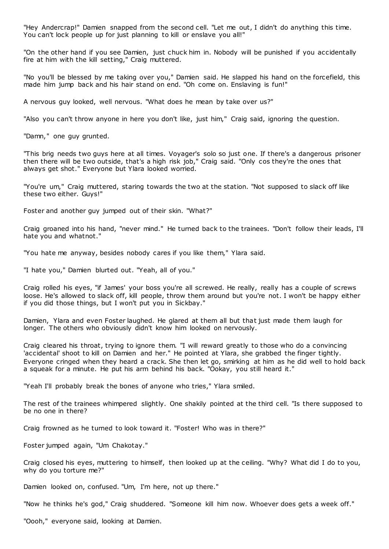"Hey Andercrap!" Damien snapped from the second cell. "Let me out, I didn't do anything this time. You can't lock people up for just planning to kill or enslave you all!"

"On the other hand if you see Damien, just chuck him in. Nobody will be punished if you accidentally fire at him with the kill setting," Craig muttered.

"No you'll be blessed by me taking over you," Damien said. He slapped his hand on the forcefield, this made him jump back and his hair stand on end. "Oh come on. Enslaving is fun!"

A nervous guy looked, well nervous. "What does he mean by take over us?"

"Also you can't throw anyone in here you don't like, just him," Craig said, ignoring the question.

"Damn," one guy grunted.

"This brig needs two guys here at all times. Voyager's solo so just one. If there's a dangerous prisoner then there will be two outside, that's a high risk job," Craig said. "Only cos they're the ones that always get shot." Everyone but Ylara looked worried.

"You're um," Craig muttered, staring towards the two at the station. "Not supposed to slack off like these two either. Guys!"

Foster and another guy jumped out of their skin. "What?"

Craig groaned into his hand, "never mind." He turned back to the trainees. "Don't follow their leads, I'll hate you and whatnot."

"You hate me anyway, besides nobody cares if you like them," Ylara said.

"I hate you," Damien blurted out. "Yeah, all of you."

Craig rolled his eyes, "if James' your boss you're all screwed. He really, really has a couple of screws loose. He's allowed to slack off, kill people, throw them around but you're not. I won't be happy either if you did those things, but I won't put you in Sickbay."

Damien, Ylara and even Foster laughed. He glared at them all but that just made them laugh for longer. The others who obviously didn't know him looked on nervously.

Craig cleared his throat, trying to ignore them. "I will reward greatly to those who do a convincing 'accidental' shoot to kill on Damien and her." He pointed at Ylara, she grabbed the finger tightly. Everyone cringed when they heard a crack. She then let go, smirking at him as he did well to hold back a squeak for a minute. He put his arm behind his back. "Ookay, you still heard it."

"Yeah I'll probably break the bones of anyone who tries," Ylara smiled.

The rest of the trainees whimpered slightly. One shakily pointed at the third cell. "Is there supposed to be no one in there?

Craig frowned as he turned to look toward it. "Foster! Who was in there?"

Foster jumped again, "Um Chakotay."

Craig closed his eyes, muttering to himself, then looked up at the ceiling. "Why? What did I do to you, why do you torture me?"

Damien looked on, confused. "Um, I'm here, not up there."

"Now he thinks he's god," Craig shuddered. "Someone kill him now. Whoever does gets a week off."

"Oooh," everyone said, looking at Damien.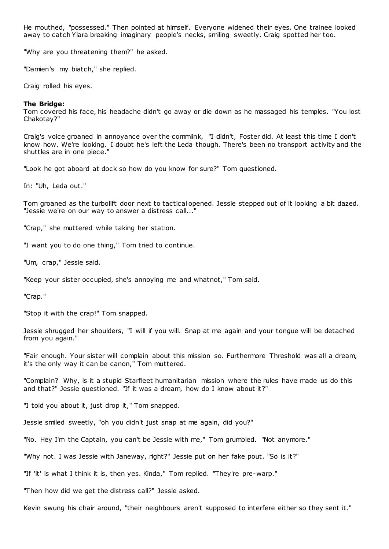He mouthed, "possessed." Then pointed at himself. Everyone widened their eyes. One trainee looked away to catch Ylara breaking imaginary people's necks, smiling sweetly. Craig spotted her too.

"Why are you threatening them?" he asked.

"Damien's my biatch," she replied.

Craig rolled his eyes.

## **The Bridge:**

Tom covered his face, his headache didn't go away or die down as he massaged his temples. "You lost Chakotay?"

Craig's voice groaned in annoyance over the commlink, "I didn't, Foster did. At least this time I don't know how. We're looking. I doubt he's left the Leda though. There's been no transport activity and the shuttles are in one piece."

"Look he got aboard at dock so how do you know for sure?" Tom questioned.

In: "Uh, Leda out."

Tom groaned as the turbolift door next to tactical opened. Jessie stepped out of it looking a bit dazed. "Jessie we're on our way to answer a distress call..."

"Crap," she muttered while taking her station.

"I want you to do one thing," Tom tried to continue.

"Um, crap," Jessie said.

"Keep your sister occupied, she's annoying me and whatnot," Tom said.

"Crap."

"Stop it with the crap!" Tom snapped.

Jessie shrugged her shoulders, "I will if you will. Snap at me again and your tongue will be detached from you again."

"Fair enough. Your sister will complain about this mission so. Furthermore Threshold was all a dream, it's the only way it can be canon," Tom muttered.

"Complain? Why, is it a stupid Starfleet humanitarian mission where the rules have made us do this and that?" Jessie questioned. "If it was a dream, how do I know about it?"

"I told you about it, just drop it," Tom snapped.

Jessie smiled sweetly, "oh you didn't just snap at me again, did you?"

"No. Hey I'm the Captain, you can't be Jessie with me," Tom grumbled. "Not anymore."

"Why not. I was Jessie with Janeway, right?" Jessie put on her fake pout. "So is it?"

"If 'it' is what I think it is, then yes. Kinda," Tom replied. "They're pre-warp."

"Then how did we get the distress call?" Jessie asked.

Kevin swung his chair around, "their neighbours aren't supposed to interfere either so they sent it."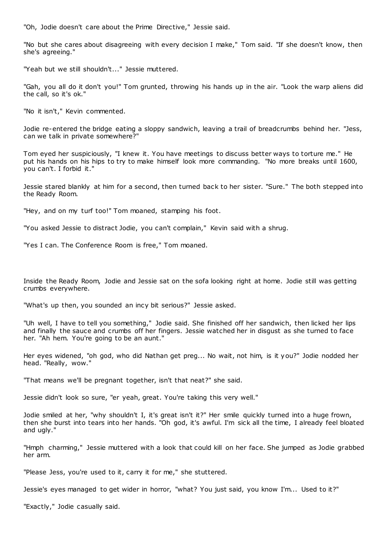"Oh, Jodie doesn't care about the Prime Directive," Jessie said.

"No but she cares about disagreeing with every decision I make," Tom said. "If she doesn't know, then she's agreeing."

"Yeah but we still shouldn't..." Jessie muttered.

"Gah, you all do it don't you!" Tom grunted, throwing his hands up in the air. "Look the warp aliens did the call, so it's ok."

"No it isn't," Kevin commented.

Jodie re-entered the bridge eating a sloppy sandwich, leaving a trail of breadcrumbs behind her. "Jess, can we talk in private somewhere?"

Tom eyed her suspiciously, "I knew it. You have meetings to discuss better ways to torture me." He put his hands on his hips to try to make himself look more commanding. "No more breaks until 1600, you can't. I forbid it."

Jessie stared blankly at him for a second, then turned back to her sister. "Sure." The both stepped into the Ready Room.

"Hey, and on my turf too!" Tom moaned, stamping his foot.

"You asked Jessie to distract Jodie, you can't complain," Kevin said with a shrug.

"Yes I can. The Conference Room is free," Tom moaned.

Inside the Ready Room, Jodie and Jessie sat on the sofa looking right at home. Jodie still was getting crumbs everywhere.

"What's up then, you sounded an incy bit serious?" Jessie asked.

"Uh well, I have to tell you something," Jodie said. She finished off her sandwich, then licked her lips and finally the sauce and crumbs off her fingers. Jessie watched her in disgust as she turned to face her. "Ah hem. You're going to be an aunt."

Her eyes widened, "oh god, who did Nathan get preg... No wait, not him, is it you?" Jodie nodded her head. "Really, wow."

"That means we'll be pregnant together, isn't that neat?" she said.

Jessie didn't look so sure, "er yeah, great. You're taking this very well."

Jodie smiled at her, "why shouldn't I, it's great isn't it?" Her smile quickly turned into a huge frown, then she burst into tears into her hands. "Oh god, it's awful. I'm sick all the time, I already feel bloated and ugly."

"Hmph charming," Jessie muttered with a look that could kill on her face. She jumped as Jodie grabbed her arm.

"Please Jess, you're used to it, carry it for me," she stuttered.

Jessie's eyes managed to get wider in horror, "what? You just said, you know I'm... Used to it?"

"Exactly," Jodie casually said.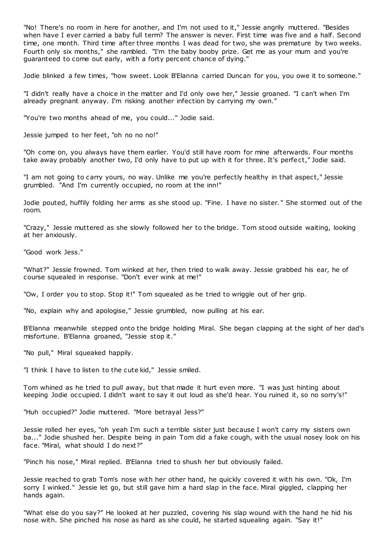"No! There's no room in here for another, and I'm not used to it," Jessie angrily muttered. "Besides when have I ever carried a baby full term? The answer is never. First time was five and a half. Second time, one month. Third time after three months I was dead for two, she was premature by two weeks. Fourth only six months," she rambled. "I'm the baby booby prize. Get me as your mum and you're guaranteed to come out early, with a forty percent chance of dying."

Jodie blinked a few times, "how sweet. Look B'Elanna carried Duncan for you, you owe it to someone."

"I didn't really have a choice in the matter and I'd only owe her," Jessie groaned. "I can't when I'm already pregnant anyway. I'm risking another infection by carrying my own."

"You're two months ahead of me, you could..." Jodie said.

Jessie jumped to her feet, "oh no no no!"

"Oh come on, you always have them earlier. You'd still have room for mine afterwards. Four months take away probably another two, I'd only have to put up with it for three. It's perfect," Jodie said.

"I am not going to carry yours, no way. Unlike me you're perfectly healthy in that aspect," Jessie grumbled. "And I'm currently occupied, no room at the inn!"

Jodie pouted, huffily folding her arms as she stood up. "Fine. I have no sister. " She stormed out of the room.

"Crazy," Jessie muttered as she slowly followed her to the bridge. Tom stood outside waiting, looking at her anxiously.

"Good work Jess."

"What?" Jessie frowned. Tom winked at her, then tried to walk away. Jessie grabbed his ear, he of course squealed in response. "Don't ever wink at me!"

"Ow, I order you to stop. Stop it!" Tom squealed as he tried to wriggle out of her grip.

"No, explain why and apologise," Jessie grumbled, now pulling at his ear.

B'Elanna meanwhile stepped onto the bridge holding Miral. She began clapping at the sight of her dad's misfortune. B'Elanna groaned, "Jessie stop it."

"No pull," Miral squeaked happily.

"I think I have to listen to the cute kid," Jessie smiled.

Tom whined as he tried to pull away, but that made it hurt even more. "I was just hinting about keeping Jodie occupied. I didn't want to say it out loud as she'd hear. You ruined it, so no sorry's!"

"Huh occupied?" Jodie muttered. "More betrayal Jess?"

Jessie rolled her eyes, "oh yeah I'm such a terrible sister just because I won't carry my sisters own ba..." Jodie shushed her. Despite being in pain Tom did a fake cough, with the usual nosey look on his face. "Miral, what should I do next?"

"Pinch his nose," Miral replied. B'Elanna tried to shush her but obviously failed.

Jessie reached to grab Tom's nose with her other hand, he quickly covered it with his own. "Ok, I'm sorry I winked." Jessie let go, but still gave him a hard slap in the face. Miral giggled, clapping her hands again.

"What else do you say?" He looked at her puzzled, covering his slap wound with the hand he hid his nose with. She pinched his nose as hard as she could, he started squealing again. "Say it!"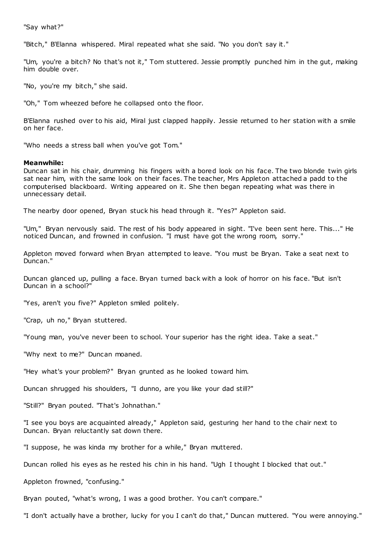"Say what?"

"Bitch," B'Elanna whispered. Miral repeated what she said. "No you don't say it."

"Um, you're a bitch? No that's not it," Tom stuttered. Jessie promptly punched him in the gut, making him double over.

"No, you're my bitch," she said.

"Oh," Tom wheezed before he collapsed onto the floor.

B'Elanna rushed over to his aid, Miral just clapped happily. Jessie returned to her station with a smile on her face.

"Who needs a stress ball when you've got Tom."

## **Meanwhile:**

Duncan sat in his chair, drumming his fingers with a bored look on his face. The two blonde twin girls sat near him, with the same look on their faces. The teacher, Mrs Appleton attached a padd to the computerised blackboard. Writing appeared on it. She then began repeating what was there in unnecessary detail.

The nearby door opened, Bryan stuck his head through it. "Yes?" Appleton said.

"Um," Bryan nervously said. The rest of his body appeared in sight. "I've been sent here. This..." He noticed Duncan, and frowned in confusion. "I must have got the wrong room, sorry."

Appleton moved forward when Bryan attempted to leave. "You must be Bryan. Take a seat next to Duncan."

Duncan glanced up, pulling a face. Bryan turned back with a look of horror on his face. "But isn't Duncan in a school?"

"Yes, aren't you five?" Appleton smiled politely.

"Crap, uh no," Bryan stuttered.

"Young man, you've never been to school. Your superior has the right idea. Take a seat."

"Why next to me?" Duncan moaned.

"Hey what's your problem?" Bryan grunted as he looked toward him.

Duncan shrugged his shoulders, "I dunno, are you like your dad still?"

"Still?" Bryan pouted. "That's Johnathan."

"I see you boys are acquainted already," Appleton said, gesturing her hand to the chair next to Duncan. Bryan reluctantly sat down there.

"I suppose, he was kinda my brother for a while," Bryan muttered.

Duncan rolled his eyes as he rested his chin in his hand. "Ugh I thought I blocked that out."

Appleton frowned, "confusing."

Bryan pouted, "what's wrong, I was a good brother. You can't compare."

"I don't actually have a brother, lucky for you I can't do that," Duncan muttered. "You were annoying."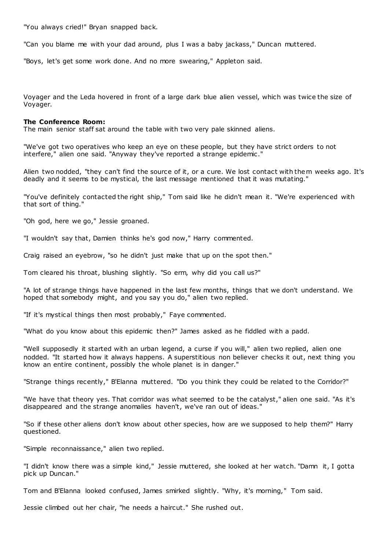"You always cried!" Bryan snapped back.

"Can you blame me with your dad around, plus I was a baby jackass," Duncan muttered.

"Boys, let's get some work done. And no more swearing," Appleton said.

Voyager and the Leda hovered in front of a large dark blue alien vessel, which was twice the size of Voyager.

## **The Conference Room:**

The main senior staff sat around the table with two very pale skinned aliens.

"We've got two operatives who keep an eye on these people, but they have strict orders to not interfere," alien one said. "Anyway they've reported a strange epidemic ."

Alien two nodded, "they can't find the source of it, or a cure. We lost contact with them weeks ago. It's deadly and it seems to be mystical, the last message mentioned that it was mutating."

"You've definitely contacted the right ship," Tom said like he didn't mean it. "We're experienced with that sort of thing."

"Oh god, here we go," Jessie groaned.

"I wouldn't say that, Damien thinks he's god now," Harry commented.

Craig raised an eyebrow, "so he didn't just make that up on the spot then."

Tom cleared his throat, blushing slightly. "So erm, why did you call us?"

"A lot of strange things have happened in the last few months, things that we don't understand. We hoped that somebody might, and you say you do," alien two replied.

"If it's mystical things then most probably," Faye commented.

"What do you know about this epidemic then?" James asked as he fiddled with a padd.

"Well supposedly it started with an urban legend, a curse if you will," alien two replied, alien one nodded. "It started how it always happens. A superstitious non believer checks it out, next thing you know an entire continent, possibly the whole planet is in danger."

"Strange things recently," B'Elanna muttered. "Do you think they could be related to the Corridor?"

"We have that theory yes. That corridor was what seemed to be the catalyst," alien one said. "As it's disappeared and the strange anomalies haven't, we've ran out of ideas."

"So if these other aliens don't know about other species, how are we supposed to help them?" Harry questioned.

"Simple reconnaissance," alien two replied.

"I didn't know there was a simple kind," Jessie muttered, she looked at her watch. "Damn it, I gotta pick up Duncan."

Tom and B'Elanna looked confused, James smirked slightly. "Why, it's morning," Tom said.

Jessie climbed out her chair, "he needs a haircut." She rushed out.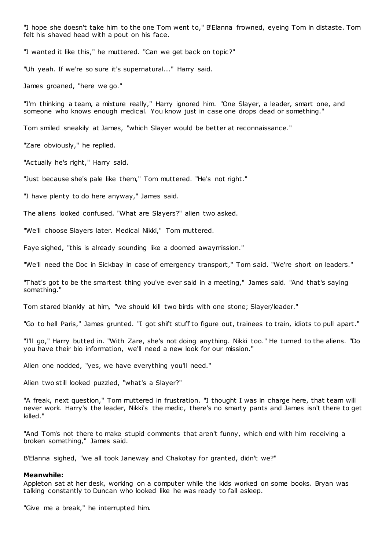"I hope she doesn't take him to the one Tom went to," B'Elanna frowned, eyeing Tom in distaste. Tom felt his shaved head with a pout on his face.

"I wanted it like this," he muttered. "Can we get back on topic?"

"Uh yeah. If we're so sure it's supernatural..." Harry said.

James groaned, "here we go."

"I'm thinking a team, a mixture really," Harry ignored him. "One Slayer, a leader, smart one, and someone who knows enough medical. You know just in case one drops dead or something."

Tom smiled sneakily at James, "which Slayer would be better at reconnaissance."

"Zare obviously," he replied.

"Actually he's right," Harry said.

"Just because she's pale like them," Tom muttered. "He's not right."

"I have plenty to do here anyway," James said.

The aliens looked confused. "What are Slayers?" alien two asked.

"We'll choose Slayers later. Medical Nikki," Tom muttered.

Faye sighed, "this is already sounding like a doomed awaymission."

"We'll need the Doc in Sickbay in case of emergency transport," Tom said. "We're short on leaders."

"That's got to be the smartest thing you've ever said in a meeting," James said. "And that's saying something."

Tom stared blankly at him, "we should kill two birds with one stone; Slayer/leader."

"Go to hell Paris," James grunted. "I got shift stuff to figure out, trainees to train, idiots to pull apart."

"I'll go," Harry butted in. "With Zare, she's not doing anything. Nikki too." He turned to the aliens. "Do you have their bio information, we'll need a new look for our mission."

Alien one nodded, "yes, we have everything you'll need."

Alien two still looked puzzled, "what's a Slayer?"

"A freak, next question," Tom muttered in frustration. "I thought I was in charge here, that team will never work. Harry's the leader, Nikki's the medic , there's no smarty pants and James isn't there to get killed."

"And Tom's not there to make stupid comments that aren't funny, which end with him receiving a broken something," James said.

B'Elanna sighed, "we all took Janeway and Chakotay for granted, didn't we?"

## **Meanwhile:**

Appleton sat at her desk, working on a computer while the kids worked on some books. Bryan was talking constantly to Duncan who looked like he was ready to fall asleep.

"Give me a break," he interrupted him.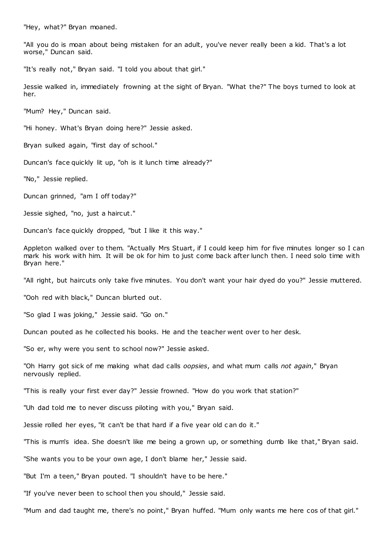"Hey, what?" Bryan moaned.

"All you do is moan about being mistaken for an adult, you've never really been a kid. That's a lot worse," Duncan said.

"It's really not," Bryan said. "I told you about that girl."

Jessie walked in, immediately frowning at the sight of Bryan. "What the?" The boys turned to look at her.

"Mum? Hey," Duncan said.

"Hi honey. What's Bryan doing here?" Jessie asked.

Bryan sulked again, "first day of school."

Duncan's face quickly lit up, "oh is it lunch time already?"

"No," Jessie replied.

Duncan grinned, "am I off today?"

Jessie sighed, "no, just a haircut."

Duncan's face quickly dropped, "but I like it this way."

Appleton walked over to them. "Actually Mrs Stuart, if I could keep him for five minutes longer so I can mark his work with him. It will be ok for him to just come back after lunch then. I need solo time with Bryan here."

"All right, but haircuts only take five minutes. You don't want your hair dyed do you?" Jessie muttered.

"Ooh red with black," Duncan blurted out.

"So glad I was joking," Jessie said. "Go on."

Duncan pouted as he collected his books. He and the teacher went over to her desk.

"So er, why were you sent to school now?" Jessie asked.

"Oh Harry got sick of me making what dad calls *oopsies*, and what mum calls *not again*," Bryan nervously replied.

"This is really your first ever day?" Jessie frowned. "How do you work that station?"

"Uh dad told me to never discuss piloting with you," Bryan said.

Jessie rolled her eyes, "it can't be that hard if a five year old can do it."

"This is mum's idea. She doesn't like me being a grown up, or something dumb like that," Bryan said.

"She wants you to be your own age, I don't blame her," Jessie said.

"But I'm a teen," Bryan pouted. "I shouldn't have to be here."

"If you've never been to school then you should," Jessie said.

"Mum and dad taught me, there's no point," Bryan huffed. "Mum only wants me here cos of that girl."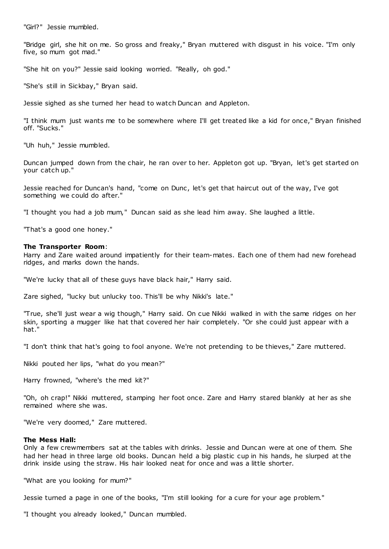"Girl?" Jessie mumbled.

"Bridge girl, she hit on me. So gross and freaky," Bryan muttered with disgust in his voice. "I'm only five, so mum got mad."

"She hit on you?" Jessie said looking worried. "Really, oh god."

"She's still in Sickbay," Bryan said.

Jessie sighed as she turned her head to watch Duncan and Appleton.

"I think mum just wants me to be somewhere where I'll get treated like a kid for once," Bryan finished off. "Sucks."

"Uh huh," Jessie mumbled.

Duncan jumped down from the chair, he ran over to her. Appleton got up. "Bryan, let's get started on your catch up."

Jessie reached for Duncan's hand, "come on Dunc , let's get that haircut out of the way, I've got something we could do after."

"I thought you had a job mum," Duncan said as she lead him away. She laughed a little.

"That's a good one honey."

### **The Transporter Room**:

Harry and Zare waited around impatiently for their team-mates. Each one of them had new forehead ridges, and marks down the hands.

"We're lucky that all of these guys have black hair," Harry said.

Zare sighed, "lucky but unlucky too. This'll be why Nikki's late."

"True, she'll just wear a wig though," Harry said. On cue Nikki walked in with the same ridges on her skin, sporting a mugger like hat that covered her hair completely. "Or she could just appear with a hat.

"I don't think that hat's going to fool anyone. We're not pretending to be thieves," Zare muttered.

Nikki pouted her lips, "what do you mean?"

Harry frowned, "where's the med kit?"

"Oh, oh crap!" Nikki muttered, stamping her foot once. Zare and Harry stared blankly at her as she remained where she was.

"We're very doomed," Zare muttered.

## **The Mess Hall:**

Only a few crewmembers sat at the tables with drinks. Jessie and Duncan were at one of them. She had her head in three large old books. Duncan held a big plastic cup in his hands, he slurped at the drink inside using the straw. His hair looked neat for once and was a little shorter.

"What are you looking for mum?"

Jessie turned a page in one of the books, "I'm still looking for a cure for your age problem."

"I thought you already looked," Duncan mumbled.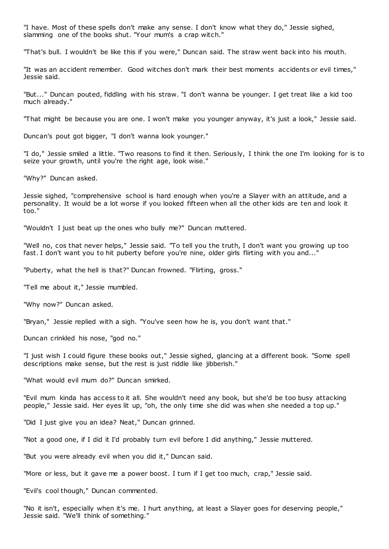"I have. Most of these spells don't make any sense. I don't know what they do," Jessie sighed, slamming one of the books shut. "Your mum's a crap witch."

"That's bull. I wouldn't be like this if you were," Duncan said. The straw went back into his mouth.

"It was an accident remember. Good witches don't mark their best moments accidents or evil times," Jessie said.

"But..." Duncan pouted, fiddling with his straw. "I don't wanna be younger. I get treat like a kid too much already."

"That might be because you are one. I won't make you younger anyway, it's just a look," Jessie said.

Duncan's pout got bigger, "I don't wanna look younger."

"I do," Jessie smiled a little. "Two reasons to find it then. Seriously, I think the one I'm looking for is to seize your growth, until you're the right age, look wise."

"Why?" Duncan asked.

Jessie sighed, "comprehensive school is hard enough when you're a Slayer with an attitude, and a personality. It would be a lot worse if you looked fifteen when all the other kids are ten and look it too."

"Wouldn't I just beat up the ones who bully me?" Duncan muttered.

"Well no, cos that never helps," Jessie said. "To tell you the truth, I don't want you growing up too fast. I don't want you to hit puberty before you're nine, older girls flirting with you and..."

"Puberty, what the hell is that?" Duncan frowned. "Flirting, gross."

"Tell me about it," Jessie mumbled.

"Why now?" Duncan asked.

"Bryan," Jessie replied with a sigh. "You've seen how he is, you don't want that."

Duncan crinkled his nose, "god no."

"I just wish I could figure these books out," Jessie sighed, glancing at a different book. "Some spell descriptions make sense, but the rest is just riddle like jibberish."

"What would evil mum do?" Duncan smirked.

"Evil mum kinda has access to it all. She wouldn't need any book, but she'd be too busy attacking people," Jessie said. Her eyes lit up, "oh, the only time she did was when she needed a top up."

"Did I just give you an idea? Neat," Duncan grinned.

"Not a good one, if I did it I'd probably turn evil before I did anything," Jessie muttered.

"But you were already evil when you did it," Duncan said.

"More or less, but it gave me a power boost. I turn if I get too much, crap," Jessie said.

"Evil's cool though," Duncan commented.

"No it isn't, especially when it's me. I hurt anything, at least a Slayer goes for deserving people," Jessie said. "We'll think of something."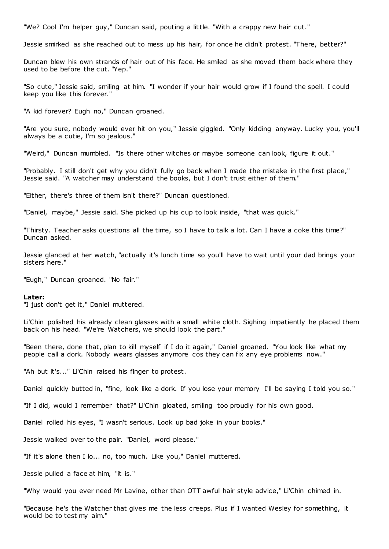"We? Cool I'm helper guy," Duncan said, pouting a little. "With a crappy new hair cut."

Jessie smirked as she reached out to mess up his hair, for once he didn't protest. "There, better?"

Duncan blew his own strands of hair out of his face. He smiled as she moved them back where they used to be before the cut. "Yep."

"So cute," Jessie said, smiling at him. "I wonder if your hair would grow if I found the spell. I could keep you like this forever."

"A kid forever? Eugh no," Duncan groaned.

"Are you sure, nobody would ever hit on you," Jessie giggled. "Only kidding anyway. Lucky you, you'll always be a cutie, I'm so jealous."

"Weird," Duncan mumbled. "Is there other witches or maybe someone can look, figure it out."

"Probably. I still don't get why you didn't fully go back when I made the mistake in the first place," Jessie said. "A watcher may understand the books, but I don't trust either of them."

"Either, there's three of them isn't there?" Duncan questioned.

"Daniel, maybe," Jessie said. She picked up his cup to look inside, "that was quick."

"Thirsty. Teacher asks questions all the time, so I have to talk a lot. Can I have a coke this time?" Duncan asked.

Jessie glanced at her watch, "actually it's lunch time so you'll have to wait until your dad brings your sisters here."

"Eugh," Duncan groaned. "No fair."

#### **Later:**

"I just don't get it," Daniel muttered.

Li'Chin polished his already clean glasses with a small white cloth. Sighing impatiently he placed them back on his head. "We're Watchers, we should look the part."

"Been there, done that, plan to kill myself if I do it again," Daniel groaned. "You look like what my people call a dork. Nobody wears glasses anymore cos they can fix any eye problems now."

"Ah but it's..." Li'Chin raised his finger to protest.

Daniel quickly butted in, "fine, look like a dork. If you lose your memory I'll be saying I told you so."

"If I did, would I remember that?" Li'Chin gloated, smiling too proudly for his own good.

Daniel rolled his eyes, "I wasn't serious. Look up bad joke in your books."

Jessie walked over to the pair. "Daniel, word please."

"If it's alone then I lo... no, too much. Like you," Daniel muttered.

Jessie pulled a face at him, "it is."

"Why would you ever need Mr Lavine, other than OTT awful hair style advice," Li'Chin chimed in.

"Because he's the Watcher that gives me the less creeps. Plus if I wanted Wesley for something, it would be to test my aim."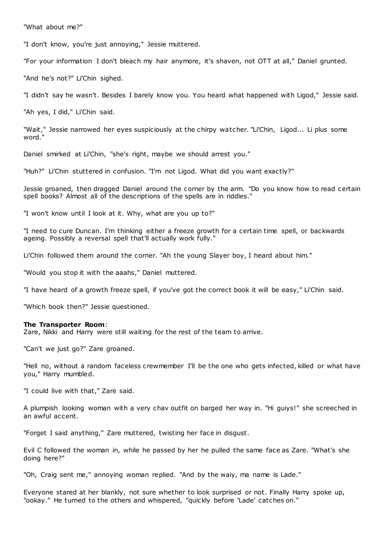"What about me?"

"I don't know, you're just annoying," Jessie muttered.

"For your information I don't bleach my hair anymore, it's shaven, not OTT at all," Daniel grunted.

"And he's not?" Li'Chin sighed.

"I didn't say he wasn't. Besides I barely know you. You heard what happened with Ligod," Jessie said.

"Ah yes, I did," Li'Chin said.

"Wait," Jessie narrowed her eyes suspiciously at the chirpy watcher. "Li'Chin, Ligod... Li plus some word."

Daniel smirked at Li'Chin, "she's right, maybe we should arrest you."

"Huh?" Li'Chin stuttered in confusion. "I'm not Ligod. What did you want exactly?"

Jessie groaned, then dragged Daniel around the corner by the arm. "Do you know how to read certain spell books? Almost all of the descriptions of the spells are in riddles."

"I won't know until I look at it. Why, what are you up to?"

"I need to cure Duncan. I'm thinking either a freeze growth for a certain time spell, or backwards ageing. Possibly a reversal spell that'll actually work fully."

Li'Chin followed them around the corner. "Ah the young Slayer boy, I heard about him."

"Would you stop it with the aaahs," Daniel muttered.

"I have heard of a growth freeze spell, if you've got the correct book it will be easy," Li'Chin said.

"Which book then?" Jessie questioned.

### **The Transporter Room**:

Zare, Nikki and Harry were still waiting for the rest of the team to arrive.

"Can't we just go?" Zare groaned.

"Hell no, without a random faceless crewmember I'll be the one who gets infected, killed or what have you," Harry mumbled.

"I could live with that," Zare said.

A plumpish looking woman with a very chav outfit on barged her way in. "Hi guiys!" she screeched in an awful accent.

"Forget I said anything," Zare muttered, twisting her face in disgust.

Evil C followed the woman in, while he passed by her he pulled the same face as Zare. "What's she doing here?"

"Oh, Craig sent me," annoying woman replied. "And by the waiy, ma name is Lade."

Everyone stared at her blankly, not sure whether to look surprised or not. Finally Harry spoke up, "ookay." He turned to the others and whispered, "quickly before 'Lade' catches on."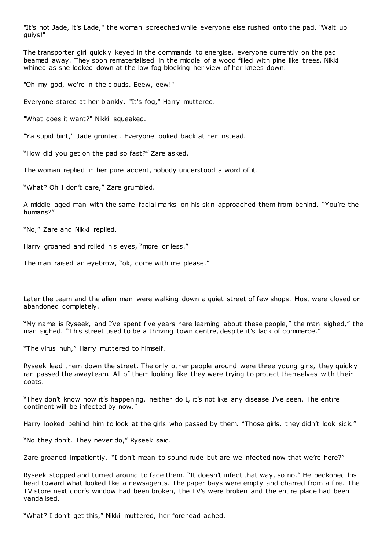"It's not Jade, it's Lade," the woman screeched while everyone else rushed onto the pad. "Wait up guiys!"

The transporter girl quickly keyed in the commands to energise, everyone currently on the pad beamed away. They soon rematerialised in the middle of a wood filled with pine like trees. Nikki whined as she looked down at the low fog blocking her view of her knees down.

"Oh my god, we're in the clouds. Eeew, eew!"

Everyone stared at her blankly. "It's fog," Harry muttered.

"What does it want?" Nikki squeaked.

"Ya supid bint," Jade grunted. Everyone looked back at her instead.

"How did you get on the pad so fast?" Zare asked.

The woman replied in her pure accent, nobody understood a word of it.

"What? Oh I don't care," Zare grumbled.

A middle aged man with the same facial marks on his skin approached them from behind. "You're the humans?"

"No," Zare and Nikki replied.

Harry groaned and rolled his eyes, "more or less."

The man raised an eyebrow, "ok, come with me please."

Later the team and the alien man were walking down a quiet street of few shops. Most were closed or abandoned completely.

"My name is Ryseek, and I've spent five years here learning about these people," the man sighed," the man sighed. "This street used to be a thriving town centre, despite it's lack of commerce."

"The virus huh," Harry muttered to himself.

Ryseek lead them down the street. The only other people around were three young girls, they quickly ran passed the awayteam. All of them looking like they were trying to protect themselves with their coats.

"They don't know how it's happening, neither do I, it's not like any disease I've seen. The entire continent will be infected by now."

Harry looked behind him to look at the girls who passed by them. "Those girls, they didn't look sick."

"No they don't. They never do," Ryseek said.

Zare groaned impatiently, "I don't mean to sound rude but are we infected now that we're here?"

Ryseek stopped and turned around to face them. "It doesn't infect that way, so no." He beckoned his head toward what looked like a newsagents. The paper bays were empty and charred from a fire. The TV store next door's window had been broken, the TV's were broken and the entire place had been vandalised.

"What? I don't get this," Nikki muttered, her forehead ached.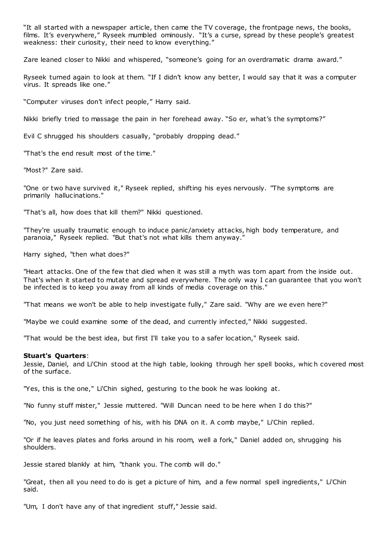"It all started with a newspaper article, then came the TV coverage, the frontpage news, the books, films. It's everywhere," Ryseek mumbled ominously. "It's a curse, spread by these people's greatest weakness: their curiosity, their need to know everything."

Zare leaned closer to Nikki and whispered, "someone's going for an overdramatic drama award."

Ryseek turned again to look at them. "If I didn't know any better, I would say that it was a computer virus. It spreads like one."

"Computer viruses don't infect people," Harry said.

Nikki briefly tried to massage the pain in her forehead away. "So er, what's the symptoms?"

Evil C shrugged his shoulders casually, "probably dropping dead."

"That's the end result most of the time."

"Most?" Zare said.

"One or two have survived it," Ryseek replied, shifting his eyes nervously. "The symptoms are primarily hallucinations."

"That's all, how does that kill them?" Nikki questioned.

"They're usually traumatic enough to induce panic/anxiety attacks, high body temperature, and paranoia," Ryseek replied. "But that's not what kills them anyway.

Harry sighed, "then what does?"

"Heart attacks. One of the few that died when it was still a myth was torn apart from the inside out. That's when it started to mutate and spread everywhere. The only way I can guarantee that you won't be infected is to keep you away from all kinds of media coverage on this."

"That means we won't be able to help investigate fully," Zare said. "Why are we even here?"

"Maybe we could examine some of the dead, and currently infected," Nikki suggested.

"That would be the best idea, but first I'll take you to a safer location," Ryseek said.

## **Stuart's Quarters**:

Jessie, Daniel, and Li'Chin stood at the high table, looking through her spell books, whic h covered most of the surface.

"Yes, this is the one," Li'Chin sighed, gesturing to the book he was looking at.

"No funny stuff mister," Jessie muttered. "Will Duncan need to be here when I do this?"

"No, you just need something of his, with his DNA on it. A comb maybe," Li'Chin replied.

"Or if he leaves plates and forks around in his room, well a fork," Daniel added on, shrugging his shoulders.

Jessie stared blankly at him, "thank you. The comb will do."

"Great, then all you need to do is get a picture of him, and a few normal spell ingredients," Li'Chin said.

"Um, I don't have any of that ingredient stuff," Jessie said.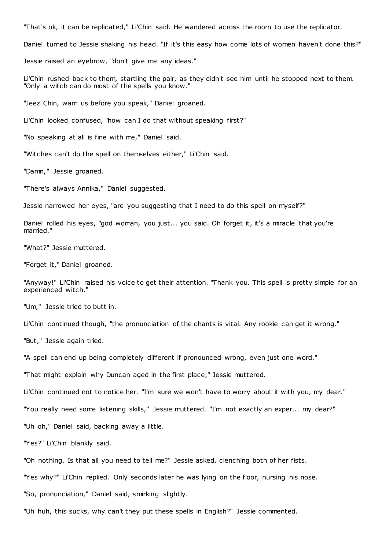"That's ok, it can be replicated," Li'Chin said. He wandered across the room to use the replicator.

Daniel turned to Jessie shaking his head. "If it's this easy how come lots of women haven't done this?"

Jessie raised an eyebrow, "don't give me any ideas."

Li'Chin rushed back to them, startling the pair, as they didn't see him until he stopped next to them. "Only a witch can do most of the spells you know."

"Jeez Chin, warn us before you speak," Daniel groaned.

Li'Chin looked confused, "how can I do that without speaking first?"

"No speaking at all is fine with me," Daniel said.

"Witches can't do the spell on themselves either," Li'Chin said.

"Damn," Jessie groaned.

"There's always Annika," Daniel suggested.

Jessie narrowed her eyes, "are you suggesting that I need to do this spell on myself?"

Daniel rolled his eyes, "god woman, you just... you said. Oh forget it, it's a miracle that you're married."

"What?" Jessie muttered.

"Forget it," Daniel groaned.

"Anyway!" Li'Chin raised his voice to get their attention. "Thank you. This spell is pretty simple for an experienced witch."

"Um," Jessie tried to butt in.

Li'Chin continued though, "the pronunciation of the chants is vital. Any rookie can get it wrong."

"But," Jessie again tried.

"A spell can end up being completely different if pronounced wrong, even just one word."

"That might explain why Duncan aged in the first place," Jessie muttered.

Li'Chin continued not to notice her. "I'm sure we won't have to worry about it with you, my dear."

"You really need some listening skills," Jessie muttered. "I'm not exactly an exper... my dear?"

"Uh oh," Daniel said, backing away a little.

"Yes?" Li'Chin blankly said.

"Oh nothing. Is that all you need to tell me?" Jessie asked, clenching both of her fists.

"Yes why?" Li'Chin replied. Only seconds later he was lying on the floor, nursing his nose.

"So, pronunciation," Daniel said, smirking slightly.

"Uh huh, this sucks, why can't they put these spells in English?" Jessie commented.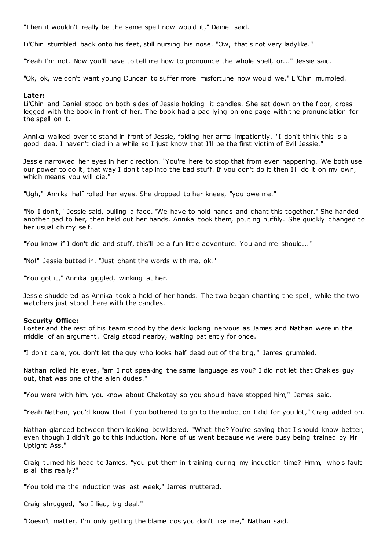"Then it wouldn't really be the same spell now would it," Daniel said.

Li'Chin stumbled back onto his feet, still nursing his nose. "Ow, that's not very ladylike."

"Yeah I'm not. Now you'll have to tell me how to pronounce the whole spell, or..." Jessie said.

"Ok, ok, we don't want young Duncan to suffer more misfortune now would we," Li'Chin mumbled.

## **Later:**

Li'Chin and Daniel stood on both sides of Jessie holding lit candles. She sat down on the floor, cross legged with the book in front of her. The book had a pad lying on one page with the pronunciation for the spell on it.

Annika walked over to stand in front of Jessie, folding her arms impatiently. "I don't think this is a good idea. I haven't died in a while so I just know that I'll be the first victim of Evil Jessie."

Jessie narrowed her eyes in her direction. "You're here to stop that from even happening. We both use our power to do it, that way I don't tap into the bad stuff. If you don't do it then I'll do it on my own, which means you will die."

"Ugh," Annika half rolled her eyes. She dropped to her knees, "you owe me."

"No I don't," Jessie said, pulling a face. "We have to hold hands and chant this together." She handed another pad to her, then held out her hands. Annika took them, pouting huffily. She quickly changed to her usual chirpy self.

"You know if I don't die and stuff, this'll be a fun little adventure. You and me should... "

"No!" Jessie butted in. "Just chant the words with me, ok."

"You got it," Annika giggled, winking at her.

Jessie shuddered as Annika took a hold of her hands. The two began chanting the spell, while the two watchers just stood there with the candles.

## **Security Office:**

Foster and the rest of his team stood by the desk looking nervous as James and Nathan were in the middle of an argument. Craig stood nearby, waiting patiently for once.

"I don't care, you don't let the guy who looks half dead out of the brig," James grumbled.

Nathan rolled his eyes, "am I not speaking the same language as you? I did not let that Chakles guy out, that was one of the alien dudes."

"You were with him, you know about Chakotay so you should have stopped him," James said.

"Yeah Nathan, you'd know that if you bothered to go to the induction I did for you lot," Craig added on.

Nathan glanced between them looking bewildered. "What the? You're saying that I should know better, even though I didn't go to this induction. None of us went because we were busy being trained by Mr Uptight Ass."

Craig turned his head to James, "you put them in training during my induction time? Hmm, who's fault is all this really?"

"You told me the induction was last week," James muttered.

Craig shrugged, "so I lied, big deal."

"Doesn't matter, I'm only getting the blame cos you don't like me," Nathan said.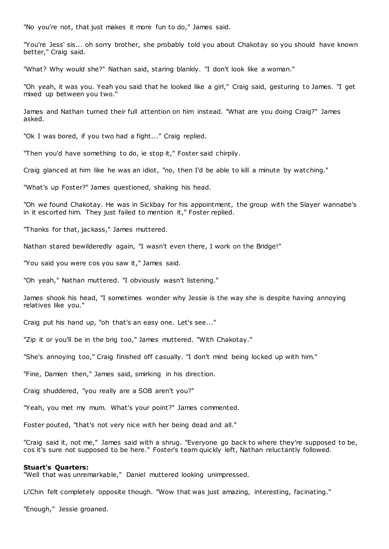"No you're not, that just makes it more fun to do," James said.

"You're Jess' sis... oh sorry brother, she probably told you about Chakotay so you should have known better," Craig said.

"What? Why would she?" Nathan said, staring blankly. "I don't look like a woman."

"Oh yeah, it was you. Yeah you said that he looked like a girl," Craig said, gesturing to James. "I get mixed up between you two."

James and Nathan turned their full attention on him instead. "What are you doing Craig?" James asked.

"Ok I was bored, if you two had a fight..." Craig replied.

"Then you'd have something to do, ie stop it," Foster said chirpily.

Craig glanced at him like he was an idiot, "no, then I'd be able to kill a minute by watching."

"What's up Foster?" James questioned, shaking his head.

"Oh we found Chakotay. He was in Sickbay for his appointment, the group with the Slayer wannabe's in it escorted him. They just failed to mention it," Foster replied.

"Thanks for that, jackass," James muttered.

Nathan stared bewilderedly again, "I wasn't even there, I work on the Bridge!"

"You said you were cos you saw it," James said.

"Oh yeah," Nathan muttered. "I obviously wasn't listening."

James shook his head, "I sometimes wonder why Jessie is the way she is despite having annoying relatives like you."

Craig put his hand up, "oh that's an easy one. Let's see..."

"Zip it or you'll be in the brig too," James muttered. "With Chakotay."

"She's annoying too," Craig finished off casually. "I don't mind being locked up with him."

"Fine, Damien then," James said, smirking in his direction.

Craig shuddered, "you really are a SOB aren't you?"

"Yeah, you met my mum. What's your point?" James commented.

Foster pouted, "that's not very nice with her being dead and all."

"Craig said it, not me," James said with a shrug. "Everyone go back to where they're supposed to be, cos it's sure not supposed to be here." Foster's team quickly left, Nathan reluctantly followed.

#### **Stuart's Quarters:**

"Well that was unremarkable," Daniel muttered looking unimpressed.

Li'Chin felt completely opposite though. "Wow that was just amazing, interesting, facinating."

"Enough," Jessie groaned.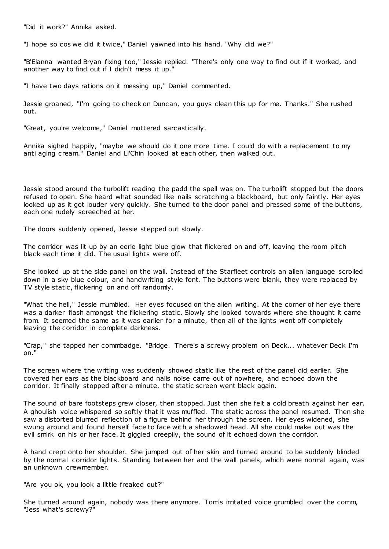"Did it work?" Annika asked.

"I hope so cos we did it twice," Daniel yawned into his hand. "Why did we?"

"B'Elanna wanted Bryan fixing too," Jessie replied. "There's only one way to find out if it worked, and another way to find out if I didn't mess it up."

"I have two days rations on it messing up," Daniel commented.

Jessie groaned, "I'm going to check on Duncan, you guys clean this up for me. Thanks." She rushed out.

"Great, you're welcome," Daniel muttered sarcastically.

Annika sighed happily, "maybe we should do it one more time. I could do with a replacement to my anti aging cream." Daniel and Li'Chin looked at each other, then walked out.

Jessie stood around the turbolift reading the padd the spell was on. The turbolift stopped but the doors refused to open. She heard what sounded like nails scratching a blackboard, but only faintly. Her eyes looked up as it got louder very quickly. She turned to the door panel and pressed some of the buttons, each one rudely screeched at her.

The doors suddenly opened, Jessie stepped out slowly.

The corridor was lit up by an eerie light blue glow that flickered on and off, leaving the room pitch black each time it did. The usual lights were off.

She looked up at the side panel on the wall. Instead of the Starfleet controls an alien language scrolled down in a sky blue colour, and handwriting style font. The buttons were blank, they were replaced by TV style static, flickering on and off randomly.

"What the hell," Jessie mumbled. Her eyes focused on the alien writing. At the corner of her eye there was a darker flash amongst the flickering static . Slowly she looked towards where she thought it came from. It seemed the same as it was earlier for a minute, then all of the lights went off completely leaving the corridor in complete darkness.

"Crap," she tapped her commbadge. "Bridge. There's a screwy problem on Deck... whatever Deck I'm on."

The screen where the writing was suddenly showed static like the rest of the panel did earlier. She covered her ears as the blackboard and nails noise came out of nowhere, and echoed down the corridor. It finally stopped after a minute, the static screen went black again.

The sound of bare footsteps grew closer, then stopped. Just then she felt a cold breath against her ear. A ghoulish voice whispered so softly that it was muffled. The static across the panel resumed. Then she saw a distorted blurred reflection of a figure behind her through the screen. Her eyes widened, she swung around and found herself face to face with a shadowed head. All she could make out was the evil smirk on his or her face. It giggled creepily, the sound of it echoed down the corridor.

A hand crept onto her shoulder. She jumped out of her skin and turned around to be suddenly blinded by the normal corridor lights. Standing between her and the wall panels, which were normal again, was an unknown crewmember.

"Are you ok, you look a little freaked out?"

She turned around again, nobody was there anymore. Tom's irritated voice grumbled over the comm, "Jess what's screwy?"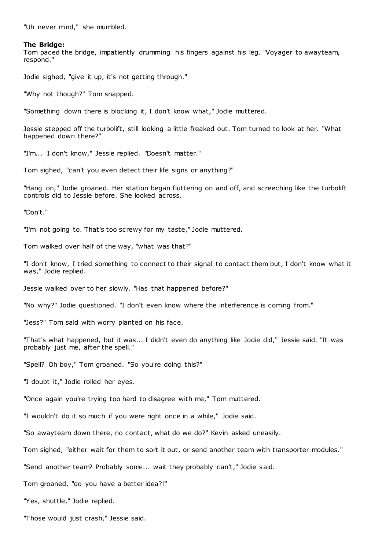"Uh never mind," she mumbled.

## **The Bridge:**

Tom paced the bridge, impatiently drumming his fingers against his leg. "Voyager to awayteam, respond."

Jodie sighed, "give it up, it's not getting through."

"Why not though?" Tom snapped.

"Something down there is blocking it, I don't know what," Jodie muttered.

Jessie stepped off the turbolift, still looking a little freaked out. Tom turned to look at her. "What happened down there?"

"I'm... I don't know," Jessie replied. "Doesn't matter."

Tom sighed, "can't you even detect their life signs or anything?"

"Hang on," Jodie groaned. Her station began fluttering on and off, and screeching like the turbolift controls did to Jessie before. She looked across.

"Don't."

"I'm not going to. That's too screwy for my taste," Jodie muttered.

Tom walked over half of the way, "what was that?"

"I don't know, I tried something to connect to their signal to contact them but, I don't know what it was," Jodie replied.

Jessie walked over to her slowly. "Has that happened before?"

"No why?" Jodie questioned. "I don't even know where the interference is coming from."

"Jess?" Tom said with worry planted on his face.

"That's what happened, but it was... I didn't even do anything like Jodie did," Jessie said. "It was probably just me, after the spell."

"Spell? Oh boy," Tom groaned. "So you're doing this?"

"I doubt it," Jodie rolled her eyes.

"Once again you're trying too hard to disagree with me," Tom muttered.

"I wouldn't do it so much if you were right once in a while," Jodie said.

"So awayteam down there, no contact, what do we do?" Kevin asked uneasily.

Tom sighed, "either wait for them to sort it out, or send another team with transporter modules."

"Send another team? Probably some... wait they probably can't," Jodie said.

Tom groaned, "do you have a better idea?!"

"Yes, shuttle," Jodie replied.

"Those would just crash," Jessie said.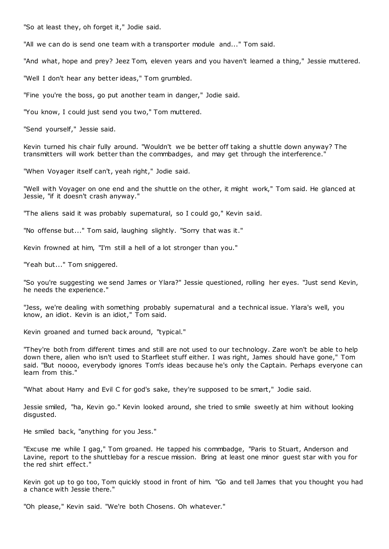"So at least they, oh forget it," Jodie said.

"All we can do is send one team with a transporter module and..." Tom said.

"And what, hope and prey? Jeez Tom, eleven years and you haven't learned a thing," Jessie muttered.

"Well I don't hear any better ideas," Tom grumbled.

"Fine you're the boss, go put another team in danger," Jodie said.

"You know, I could just send you two," Tom muttered.

"Send yourself," Jessie said.

Kevin turned his chair fully around. "Wouldn't we be better off taking a shuttle down anyway? The transmitters will work better than the commbadges, and may get through the interference."

"When Voyager itself can't, yeah right," Jodie said.

"Well with Voyager on one end and the shuttle on the other, it might work," Tom said. He glanced at Jessie, "if it doesn't crash anyway."

"The aliens said it was probably supernatural, so I could go," Kevin said.

"No offense but..." Tom said, laughing slightly. "Sorry that was it."

Kevin frowned at him, "I'm still a hell of a lot stronger than you."

"Yeah but..." Tom sniggered.

"So you're suggesting we send James or Ylara?" Jessie questioned, rolling her eyes. "Just send Kevin, he needs the experience."

"Jess, we're dealing with something probably supernatural and a technical issue. Ylara's well, you know, an idiot. Kevin is an idiot," Tom said.

Kevin groaned and turned back around, "typical."

"They're both from different times and still are not used to our technology. Zare won't be able to help down there, alien who isn't used to Starfleet stuff either. I was right, James should have gone," Tom said. "But noooo, everybody ignores Tom's ideas because he's only the Captain. Perhaps everyone can learn from this."

"What about Harry and Evil C for god's sake, they're supposed to be smart," Jodie said.

Jessie smiled, "ha, Kevin go." Kevin looked around, she tried to smile sweetly at him without looking disgusted.

He smiled back, "anything for you Jess."

"Excuse me while I gag," Tom groaned. He tapped his commbadge, "Paris to Stuart, Anderson and Lavine, report to the shuttlebay for a rescue mission. Bring at least one minor guest star with you for the red shirt effect."

Kevin got up to go too, Tom quickly stood in front of him. "Go and tell James that you thought you had a chance with Jessie there."

"Oh please," Kevin said. "We're both Chosens. Oh whatever."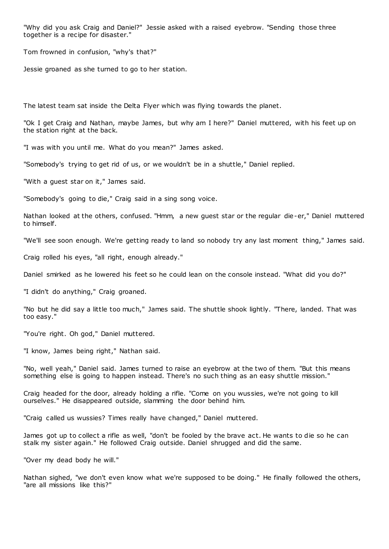"Why did you ask Craig and Daniel?" Jessie asked with a raised eyebrow. "Sending those three together is a recipe for disaster."

Tom frowned in confusion, "why's that?"

Jessie groaned as she turned to go to her station.

The latest team sat inside the Delta Flyer which was flying towards the planet.

"Ok I get Craig and Nathan, maybe James, but why am I here?" Daniel muttered, with his feet up on the station right at the back.

"I was with you until me. What do you mean?" James asked.

"Somebody's trying to get rid of us, or we wouldn't be in a shuttle," Daniel replied.

"With a guest star on it," James said.

"Somebody's going to die," Craig said in a sing song voice.

Nathan looked at the others, confused. "Hmm, a new guest star or the regular die-er," Daniel muttered to himself.

"We'll see soon enough. We're getting ready to land so nobody try any last moment thing," James said.

Craig rolled his eyes, "all right, enough already."

Daniel smirked as he lowered his feet so he could lean on the console instead. "What did you do?"

"I didn't do anything," Craig groaned.

"No but he did say a little too much," James said. The shuttle shook lightly. "There, landed. That was too easy."

"You're right. Oh god," Daniel muttered.

"I know, James being right," Nathan said.

"No, well yeah," Daniel said. James turned to raise an eyebrow at the two of them. "But this means something else is going to happen instead. There's no such thing as an easy shuttle mission."

Craig headed for the door, already holding a rifle. "Come on you wussies, we're not going to kill ourselves." He disappeared outside, slamming the door behind him.

"Craig called us wussies? Times really have changed," Daniel muttered.

James got up to collect a rifle as well, "don't be fooled by the brave act. He wants to die so he can stalk my sister again." He followed Craig outside. Daniel shrugged and did the same.

"Over my dead body he will."

Nathan sighed, "we don't even know what we're supposed to be doing." He finally followed the others, "are all missions like this?"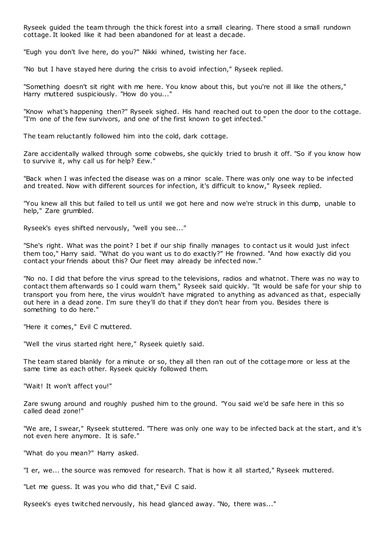Ryseek guided the team through the thick forest into a small clearing. There stood a small rundown cottage. It looked like it had been abandoned for at least a decade.

"Eugh you don't live here, do you?" Nikki whined, twisting her face.

"No but I have stayed here during the crisis to avoid infection," Ryseek replied.

"Something doesn't sit right with me here. You know about this, but you're not ill like the others," Harry muttered suspiciously. "How do you..."

"Know what's happening then?" Ryseek sighed. His hand reached out to open the door to the cottage. "I'm one of the few survivors, and one of the first known to get infected."

The team reluctantly followed him into the cold, dark cottage.

Zare accidentally walked through some cobwebs, she quickly tried to brush it off. "So if you know how to survive it, why call us for help? Eew."

"Back when I was infected the disease was on a minor scale. There was only one way to be infected and treated. Now with different sources for infection, it's difficult to know," Ryseek replied.

"You knew all this but failed to tell us until we got here and now we're struck in this dump, unable to help," Zare grumbled.

Ryseek's eyes shifted nervously, "well you see..."

"She's right. What was the point? I bet if our ship finally manages to contact us it would just infect them too," Harry said. "What do you want us to do exactly?" He frowned. "And how exactly did you contact your friends about this? Our fleet may already be infected now."

"No no. I did that before the virus spread to the televisions, radios and whatnot. There was no way to contact them afterwards so I could warn them," Ryseek said quickly. "It would be safe for your ship to transport you from here, the virus wouldn't have migrated to anything as advanced as that, especially out here in a dead zone. I'm sure they'll do that if they don't hear from you. Besides there is something to do here."

"Here it comes," Evil C muttered.

"Well the virus started right here," Ryseek quietly said.

The team stared blankly for a minute or so, they all then ran out of the cottage more or less at the same time as each other. Ryseek quickly followed them.

"Wait! It won't affect you!"

Zare swung around and roughly pushed him to the ground. "You said we'd be safe here in this so called dead zone!"

"We are, I swear," Ryseek stuttered. "There was only one way to be infected back at the start, and it's not even here anymore. It is safe."

"What do you mean?" Harry asked.

"I er, we... the source was removed for research. That is how it all started," Ryseek muttered.

"Let me guess. It was you who did that," Evil C said.

Ryseek's eyes twitched nervously, his head glanced away. "No, there was..."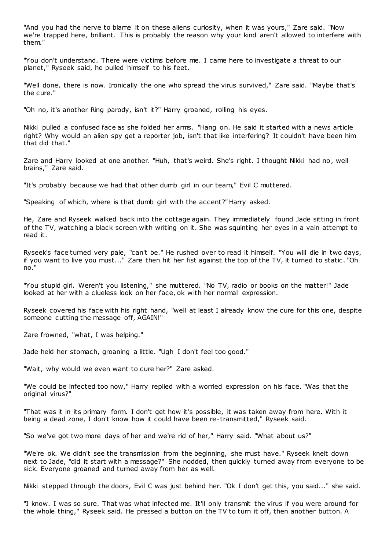"And you had the nerve to blame it on these aliens curiosity, when it was yours," Zare said. "Now we're trapped here, brilliant. This is probably the reason why your kind aren't allowed to interfere with them."

"You don't understand. There were victims before me. I came here to investigate a threat to our planet," Ryseek said, he pulled himself to his feet.

"Well done, there is now. Ironically the one who spread the virus survived," Zare said. "Maybe that's the cure."

"Oh no, it's another Ring parody, isn't it?" Harry groaned, rolling his eyes.

Nikki pulled a confused face as she folded her arms. "Hang on. He said it started with a news article right? Why would an alien spy get a reporter job, isn't that like interfering? It couldn't have been him that did that."

Zare and Harry looked at one another. "Huh, that's weird. She's right. I thought Nikki had no, well brains," Zare said.

"It's probably because we had that other dumb girl in our team," Evil C muttered.

"Speaking of which, where is that dumb girl with the accent?" Harry asked.

He, Zare and Ryseek walked back into the cottage again. They immediately found Jade sitting in front of the TV, watching a black screen with writing on it. She was squinting her eyes in a vain attempt to read it.

Ryseek's face turned very pale, "can't be." He rushed over to read it himself. "You will die in two days, if you want to live you must..." Zare then hit her fist against the top of the TV, it turned to static . "Oh no."

"You stupid girl. Weren't you listening," she muttered. "No TV, radio or books on the matter!" Jade looked at her with a clueless look on her face, ok with her normal expression.

Ryseek covered his face with his right hand, "well at least I already know the cure for this one, despite someone cutting the message off, AGAIN!"

Zare frowned, "what, I was helping."

Jade held her stomach, groaning a little. "Ugh I don't feel too good."

"Wait, why would we even want to cure her?" Zare asked.

"We could be infected too now," Harry replied with a worried expression on his face. "Was that the original virus?"

"That was it in its primary form. I don't get how it's possible, it was taken away from here. With it being a dead zone, I don't know how it could have been re-transmitted," Ryseek said.

"So we've got two more days of her and we're rid of her," Harry said. "What about us?"

"We're ok. We didn't see the transmission from the beginning, she must have." Ryseek knelt down next to Jade, "did it start with a message?" She nodded, then quickly turned away from everyone to be sick. Everyone groaned and turned away from her as well.

Nikki stepped through the doors, Evil C was just behind her. "Ok I don't get this, you said..." she said.

"I know. I was so sure. That was what infected me. It'll only transmit the virus if you were around for the whole thing," Ryseek said. He pressed a button on the TV to turn it off, then another button. A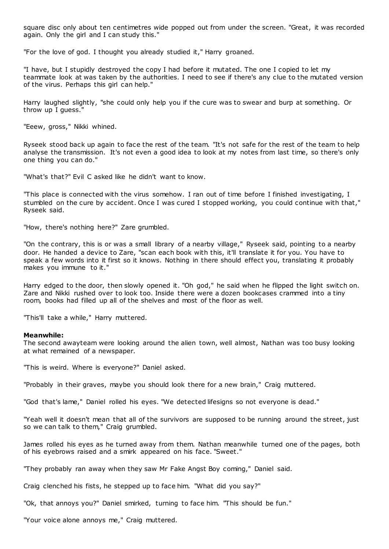square disc only about ten centimetres wide popped out from under the screen. "Great, it was recorded again. Only the girl and I can study this."

"For the love of god. I thought you already studied it," Harry groaned.

"I have, but I stupidly destroyed the copy I had before it mutated. The one I copied to let my teammate look at was taken by the authorities. I need to see if there's any clue to the mutated version of the virus. Perhaps this girl can help."

Harry laughed slightly, "she could only help you if the cure was to swear and burp at something. Or throw up I guess."

"Eeew, gross," Nikki whined.

Ryseek stood back up again to face the rest of the team. "It's not safe for the rest of the team to help analyse the transmission. It's not even a good idea to look at my notes from last time, so there's only one thing you can do."

"What's that?" Evil C asked like he didn't want to know.

"This place is connected with the virus somehow. I ran out of time before I finished investigating, I stumbled on the cure by accident. Once I was cured I stopped working, you could continue with that," Ryseek said.

"How, there's nothing here?" Zare grumbled.

"On the contrary, this is or was a small library of a nearby village," Ryseek said, pointing to a nearby door. He handed a device to Zare, "scan each book with this, it'll translate it for you. You have to speak a few words into it first so it knows. Nothing in there should effect you, translating it probably makes you immune to it."

Harry edged to the door, then slowly opened it. "Oh god," he said when he flipped the light switch on. Zare and Nikki rushed over to look too. Inside there were a dozen bookcases crammed into a tiny room, books had filled up all of the shelves and most of the floor as well.

"This'll take a while," Harry muttered.

#### **Meanwhile:**

The second awayteam were looking around the alien town, well almost, Nathan was too busy looking at what remained of a newspaper.

"This is weird. Where is everyone?" Daniel asked.

"Probably in their graves, maybe you should look there for a new brain," Craig muttered.

"God that's lame," Daniel rolled his eyes. "We detected lifesigns so not everyone is dead."

"Yeah well it doesn't mean that all of the survivors are supposed to be running around the street, just so we can talk to them," Craig grumbled.

James rolled his eyes as he turned away from them. Nathan meanwhile turned one of the pages, both of his eyebrows raised and a smirk appeared on his face. "Sweet."

"They probably ran away when they saw Mr Fake Angst Boy coming," Daniel said.

Craig clenched his fists, he stepped up to face him. "What did you say?"

"Ok, that annoys you?" Daniel smirked, turning to face him. "This should be fun."

"Your voice alone annoys me," Craig muttered.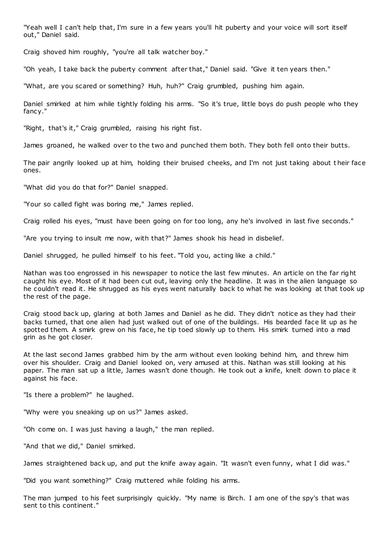"Yeah well I can't help that, I'm sure in a few years you'll hit puberty and your voice will sort itself out," Daniel said.

Craig shoved him roughly, "you're all talk watcher boy."

"Oh yeah, I take back the puberty comment after that," Daniel said. "Give it ten years then."

"What, are you scared or something? Huh, huh?" Craig grumbled, pushing him again.

Daniel smirked at him while tightly folding his arms. "So it's true, little boys do push people who they fancy."

"Right, that's it," Craig grumbled, raising his right fist.

James groaned, he walked over to the two and punched them both. They both fell onto their butts.

The pair angrily looked up at him, holding their bruised cheeks, and I'm not just taking about t heir face ones.

"What did you do that for?" Daniel snapped.

"Your so called fight was boring me," James replied.

Craig rolled his eyes, "must have been going on for too long, any he's involved in last five seconds."

"Are you trying to insult me now, with that?" James shook his head in disbelief.

Daniel shrugged, he pulled himself to his feet. "Told you, acting like a child."

Nathan was too engrossed in his newspaper to notice the last few minutes. An article on the far right caught his eye. Most of it had been cut out, leaving only the headline. It was in the alien language so he couldn't read it. He shrugged as his eyes went naturally back to what he was looking at that took up the rest of the page.

Craig stood back up, glaring at both James and Daniel as he did. They didn't notice as they had their backs turned, that one alien had just walked out of one of the buildings. His bearded face lit up as he spotted them. A smirk grew on his face, he tip toed slowly up to them. His smirk turned into a mad grin as he got closer.

At the last second James grabbed him by the arm without even looking behind him, and threw him over his shoulder. Craig and Daniel looked on, very amused at this. Nathan was still looking at his paper. The man sat up a little, James wasn't done though. He took out a knife, knelt down to place it against his face.

"Is there a problem?" he laughed.

"Why were you sneaking up on us?" James asked.

"Oh come on. I was just having a laugh," the man replied.

"And that we did," Daniel smirked.

James straightened back up, and put the knife away again. "It wasn't even funny, what I did was."

"Did you want something?" Craig muttered while folding his arms.

The man jumped to his feet surprisingly quickly. "My name is Birch. I am one of the spy's that was sent to this continent."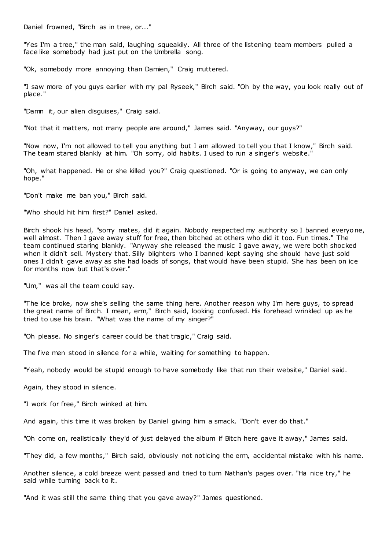Daniel frowned, "Birch as in tree, or..."

"Yes I'm a tree," the man said, laughing squeakily. All three of the listening team members pulled a face like somebody had just put on the Umbrella song.

"Ok, somebody more annoying than Damien," Craig muttered.

"I saw more of you guys earlier with my pal Ryseek," Birch said. "Oh by the way, you look really out of place."

"Damn it, our alien disguises," Craig said.

"Not that it matters, not many people are around," James said. "Anyway, our guys?"

"Now now, I'm not allowed to tell you anything but I am allowed to tell you that I know," Birch said. The team stared blankly at him. "Oh sorry, old habits. I used to run a singer's website."

"Oh, what happened. He or she killed you?" Craig questioned. "Or is going to anyway, we can only hope."

"Don't make me ban you," Birch said.

"Who should hit him first?" Daniel asked.

Birch shook his head, "sorry mates, did it again. Nobody respected my authority so I banned everyone, well almost. Then I gave away stuff for free, then bitched at others who did it too. Fun times." The team continued staring blankly. "Anyway she released the music I gave away, we were both shocked when it didn't sell. Mystery that. Silly blighters who I banned kept saying she should have just sold ones I didn't gave away as she had loads of songs, that would have been stupid. She has been on ice for months now but that's over."

"Um," was all the team could say.

"The ice broke, now she's selling the same thing here. Another reason why I'm here guys, to spread the great name of Birch. I mean, erm," Birch said, looking confused. His forehead wrinkled up as he tried to use his brain. "What was the name of my singer?"

"Oh please. No singer's career could be that tragic," Craig said.

The five men stood in silence for a while, waiting for something to happen.

"Yeah, nobody would be stupid enough to have somebody like that run their website," Daniel said.

Again, they stood in silence.

"I work for free," Birch winked at him.

And again, this time it was broken by Daniel giving him a smack. "Don't ever do that."

"Oh come on, realistically they'd of just delayed the album if Bitch here gave it away," James said.

"They did, a few months," Birch said, obviously not noticing the erm, accidental mistake with his name.

Another silence, a cold breeze went passed and tried to turn Nathan's pages over. "Ha nice try," he said while turning back to it.

"And it was still the same thing that you gave away?" James questioned.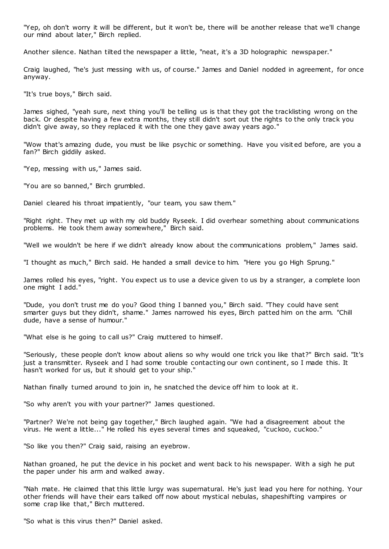"Yep, oh don't worry it will be different, but it won't be, there will be another release that we'll change our mind about later," Birch replied.

Another silence. Nathan tilted the newspaper a little, "neat, it's a 3D holographic newspaper."

Craig laughed, "he's just messing with us, of course." James and Daniel nodded in agreement, for once anyway.

"It's true boys," Birch said.

James sighed, "yeah sure, next thing you'll be telling us is that they got the tracklisting wrong on the back. Or despite having a few extra months, they still didn't sort out the rights to the only track you didn't give away, so they replaced it with the one they gave away years ago."

"Wow that's amazing dude, you must be like psychic or something. Have you visit ed before, are you a fan?" Birch giddily asked.

"Yep, messing with us," James said.

"You are so banned," Birch grumbled.

Daniel cleared his throat impatiently, "our team, you saw them."

"Right right. They met up with my old buddy Ryseek. I did overhear something about communications problems. He took them away somewhere," Birch said.

"Well we wouldn't be here if we didn't already know about the communications problem," James said.

"I thought as much," Birch said. He handed a small device to him. "Here you go High Sprung."

James rolled his eyes, "right. You expect us to use a device given to us by a stranger, a complete loon one might I add."

"Dude, you don't trust me do you? Good thing I banned you," Birch said. "They could have sent smarter guys but they didn't, shame." James narrowed his eyes, Birch patted him on the arm. "Chill dude, have a sense of humour."

"What else is he going to call us?" Craig muttered to himself.

"Seriously, these people don't know about aliens so why would one trick you like that?" Birch said. "It's just a transmitter. Ryseek and I had some trouble contacting our own continent, so I made this. It hasn't worked for us, but it should get to your ship."

Nathan finally turned around to join in, he snatched the device off him to look at it.

"So why aren't you with your partner?" James questioned.

"Partner? We're not being gay together," Birch laughed again. "We had a disagreement about the virus. He went a little..." He rolled his eyes several times and squeaked, "cuckoo, cuckoo."

"So like you then?" Craig said, raising an eyebrow.

Nathan groaned, he put the device in his pocket and went back to his newspaper. With a sigh he put the paper under his arm and walked away.

"Nah mate. He claimed that this little lurgy was supernatural. He's just lead you here for nothing. Your other friends will have their ears talked off now about mystical nebulas, shapeshifting vampires or some crap like that," Birch muttered.

"So what is this virus then?" Daniel asked.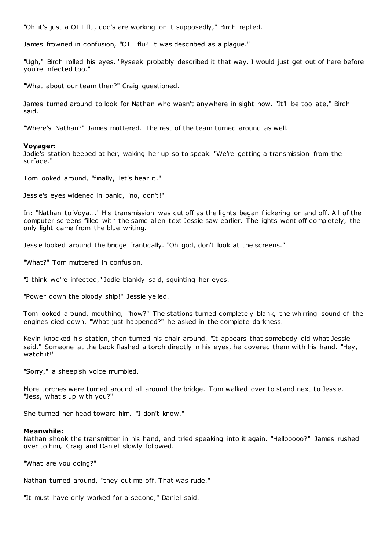"Oh it's just a OTT flu, doc's are working on it supposedly," Birch replied.

James frowned in confusion, "OTT flu? It was described as a plague."

"Ugh," Birch rolled his eyes. "Ryseek probably described it that way. I would just get out of here before you're infected too."

"What about our team then?" Craig questioned.

James turned around to look for Nathan who wasn't anywhere in sight now. "It'll be too late," Birch said.

"Where's Nathan?" James muttered. The rest of the team turned around as well.

#### **Voyager:**

Jodie's station beeped at her, waking her up so to speak. "We're getting a transmission from the surface."

Tom looked around, "finally, let's hear it."

Jessie's eyes widened in panic, "no, don't!"

In: "Nathan to Voya..." His transmission was cut off as the lights began flickering on and off. All of the computer screens filled with the same alien text Jessie saw earlier. The lights went off completely, the only light came from the blue writing.

Jessie looked around the bridge frantically. "Oh god, don't look at the screens."

"What?" Tom muttered in confusion.

"I think we're infected," Jodie blankly said, squinting her eyes.

"Power down the bloody ship!" Jessie yelled.

Tom looked around, mouthing, "how?" The stations turned completely blank, the whirring sound of the engines died down. "What just happened?" he asked in the complete darkness.

Kevin knocked his station, then turned his chair around. "It appears that somebody did what Jessie said." Someone at the back flashed a torch directly in his eyes, he covered them with his hand. "Hey, watch it!"

"Sorry," a sheepish voice mumbled.

More torches were turned around all around the bridge. Tom walked over to stand next to Jessie. "Jess, what's up with you?"

She turned her head toward him. "I don't know."

## **Meanwhile:**

Nathan shook the transmitter in his hand, and tried speaking into it again. "Hellooooo?" James rushed over to him, Craig and Daniel slowly followed.

"What are you doing?"

Nathan turned around, "they cut me off. That was rude."

"It must have only worked for a second," Daniel said.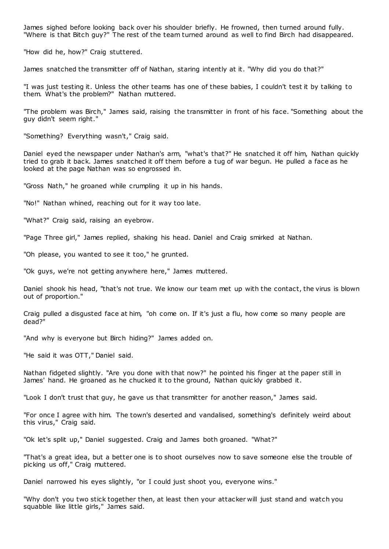James sighed before looking back over his shoulder briefly. He frowned, then turned around fully. "Where is that Bitch guy?" The rest of the team turned around as well to find Birch had disappeared.

"How did he, how?" Craig stuttered.

James snatched the transmitter off of Nathan, staring intently at it. "Why did you do that?"

"I was just testing it. Unless the other teams has one of these babies, I couldn't test it by talking to them. What's the problem?" Nathan muttered.

"The problem was Birch," James said, raising the transmitter in front of his face. "Something about the guy didn't seem right."

"Something? Everything wasn't," Craig said.

Daniel eyed the newspaper under Nathan's arm, "what's that?" He snatched it off him, Nathan quickly tried to grab it back. James snatched it off them before a tug of war begun. He pulled a face as he looked at the page Nathan was so engrossed in.

"Gross Nath," he groaned while crumpling it up in his hands.

"No!" Nathan whined, reaching out for it way too late.

"What?" Craig said, raising an eyebrow.

"Page Three girl," James replied, shaking his head. Daniel and Craig smirked at Nathan.

"Oh please, you wanted to see it too," he grunted.

"Ok guys, we're not getting anywhere here," James muttered.

Daniel shook his head, "that's not true. We know our team met up with the contact, the virus is blown out of proportion."

Craig pulled a disgusted face at him, "oh come on. If it's just a flu, how come so many people are dead?"

"And why is everyone but Birch hiding?" James added on.

"He said it was OTT," Daniel said.

Nathan fidgeted slightly. "Are you done with that now?" he pointed his finger at the paper still in James' hand. He groaned as he chucked it to the ground, Nathan quic kly grabbed it.

"Look I don't trust that guy, he gave us that transmitter for another reason," James said.

"For once I agree with him. The town's deserted and vandalised, something's definitely weird about this virus," Craig said.

"Ok let's split up," Daniel suggested. Craig and James both groaned. "What?"

"That's a great idea, but a better one is to shoot ourselves now to save someone else the trouble of picking us off," Craig muttered.

Daniel narrowed his eyes slightly, "or I could just shoot you, everyone wins."

"Why don't you two stick together then, at least then your attacker will just stand and watch you squabble like little girls," James said.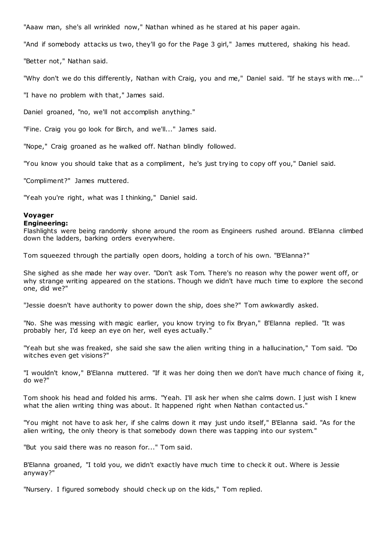"Aaaw man, she's all wrinkled now," Nathan whined as he stared at his paper again.

"And if somebody attacks us two, they'll go for the Page 3 girl," James muttered, shaking his head.

"Better not," Nathan said.

"Why don't we do this differently, Nathan with Craig, you and me," Daniel said. "If he stays with me..."

"I have no problem with that," James said.

Daniel groaned, "no, we'll not accomplish anything."

"Fine. Craig you go look for Birch, and we'll..." James said.

"Nope," Craig groaned as he walked off. Nathan blindly followed.

"You know you should take that as a compliment, he's just trying to copy off you," Daniel said.

"Compliment?" James muttered.

"Yeah you're right, what was I thinking," Daniel said.

# **Voyager**

### **Engineering:**

Flashlights were being randomly shone around the room as Engineers rushed around. B'Elanna climbed down the ladders, barking orders everywhere.

Tom squeezed through the partially open doors, holding a torch of his own. "B'Elanna?"

She sighed as she made her way over. "Don't ask Tom. There's no reason why the power went off, or why strange writing appeared on the stations. Though we didn't have much time to explore the second one, did we?"

"Jessie doesn't have authority to power down the ship, does she?" Tom awkwardly asked.

"No. She was messing with magic earlier, you know trying to fix Bryan," B'Elanna replied. "It was probably her, I'd keep an eye on her, well eyes actually."

"Yeah but she was freaked, she said she saw the alien writing thing in a hallucination," Tom said. "Do witches even get visions?"

"I wouldn't know," B'Elanna muttered. "If it was her doing then we don't have much chance of fixing it, do we?"

Tom shook his head and folded his arms. "Yeah. I'll ask her when she calms down. I just wish I knew what the alien writing thing was about. It happened right when Nathan contacted us."

"You might not have to ask her, if she calms down it may just undo itself," B'Elanna said. "As for the alien writing, the only theory is that somebody down there was tapping into our system."

"But you said there was no reason for..." Tom said.

B'Elanna groaned, "I told you, we didn't exactly have much time to check it out. Where is Jessie anyway?"

"Nursery. I figured somebody should check up on the kids," Tom replied.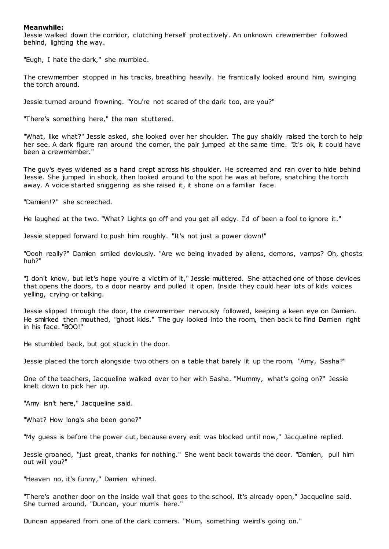## **Meanwhile:**

Jessie walked down the corridor, clutching herself protectively. An unknown crewmember followed behind, lighting the way.

"Eugh, I hate the dark," she mumbled.

The crewmember stopped in his tracks, breathing heavily. He frantically looked around him, swinging the torch around.

Jessie turned around frowning. "You're not scared of the dark too, are you?"

"There's something here," the man stuttered.

"What, like what?" Jessie asked, she looked over her shoulder. The guy shakily raised the torch to help her see. A dark figure ran around the corner, the pair jumped at the same time. "It's ok, it could have been a crewmember."

The guy's eyes widened as a hand crept across his shoulder. He screamed and ran over to hide behind Jessie. She jumped in shock, then looked around to the spot he was at before, snatching the torch away. A voice started sniggering as she raised it, it shone on a familiar face.

"Damien!?" she screeched.

He laughed at the two. "What? Lights go off and you get all edgy. I'd of been a fool to ignore it."

Jessie stepped forward to push him roughly. "It's not just a power down!"

"Oooh really?" Damien smiled deviously. "Are we being invaded by aliens, demons, vamps? Oh, ghosts huh?"

"I don't know, but let's hope you're a victim of it," Jessie muttered. She attached one of those devices that opens the doors, to a door nearby and pulled it open. Inside they could hear lots of kids voices yelling, crying or talking.

Jessie slipped through the door, the crewmember nervously followed, keeping a keen eye on Damien. He smirked then mouthed, "ghost kids." The guy looked into the room, then back to find Damien right in his face. "BOO!"

He stumbled back, but got stuck in the door.

Jessie placed the torch alongside two others on a table that barely lit up the room. "Amy, Sasha?"

One of the teachers, Jacqueline walked over to her with Sasha. "Mummy, what's going on?" Jessie knelt down to pick her up.

"Amy isn't here," Jacqueline said.

"What? How long's she been gone?"

"My guess is before the power cut, because every exit was blocked until now," Jacqueline replied.

Jessie groaned, "just great, thanks for nothing." She went back towards the door. "Damien, pull him out will you?"

"Heaven no, it's funny," Damien whined.

"There's another door on the inside wall that goes to the school. It's already open," Jacqueline said. She turned around, "Duncan, your mum's here."

Duncan appeared from one of the dark corners. "Mum, something weird's going on."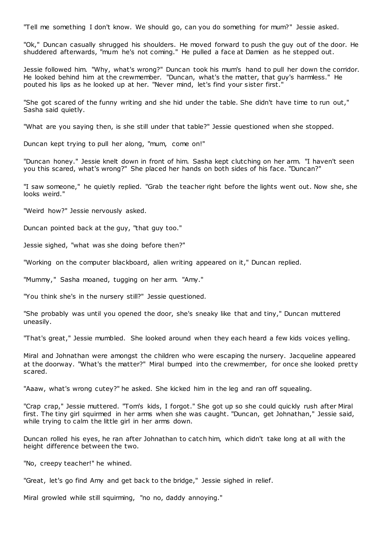"Tell me something I don't know. We should go, can you do something for mum?" Jessie asked.

"Ok," Duncan casually shrugged his shoulders. He moved forward to push the guy out of the door. He shuddered afterwards, "mum he's not coming." He pulled a face at Damien as he stepped out.

Jessie followed him. "Why, what's wrong?" Duncan took his mum's hand to pull her down the corridor. He looked behind him at the crewmember. "Duncan, what's the matter, that guy's harmless." He pouted his lips as he looked up at her. "Never mind, let's find your sister first."

"She got scared of the funny writing and she hid under the table. She didn't have time to run out," Sasha said quietly.

"What are you saying then, is she still under that table?" Jessie questioned when she stopped.

Duncan kept trying to pull her along, "mum, come on!"

"Duncan honey." Jessie knelt down in front of him. Sasha kept clutching on her arm. "I haven't seen you this scared, what's wrong?" She placed her hands on both sides of his face. "Duncan?"

"I saw someone," he quietly replied. "Grab the teacher right before the lights went out. Now she, she looks weird."

"Weird how?" Jessie nervously asked.

Duncan pointed back at the guy, "that guy too."

Jessie sighed, "what was she doing before then?"

"Working on the computer blackboard, alien writing appeared on it," Duncan replied.

"Mummy," Sasha moaned, tugging on her arm. "Amy."

"You think she's in the nursery still?" Jessie questioned.

"She probably was until you opened the door, she's sneaky like that and tiny," Duncan muttered uneasily.

"That's great," Jessie mumbled. She looked around when they each heard a few kids voices yelling.

Miral and Johnathan were amongst the children who were escaping the nursery. Jacqueline appeared at the doorway. "What's the matter?" Miral bumped into the crewmember, for once she looked pretty scared.

"Aaaw, what's wrong cutey?" he asked. She kicked him in the leg and ran off squealing.

"Crap crap," Jessie muttered. "Tom's kids, I forgot." She got up so she could quickly rush after Miral first. The tiny girl squirmed in her arms when she was caught. "Duncan, get Johnathan," Jessie said, while trying to calm the little girl in her arms down.

Duncan rolled his eyes, he ran after Johnathan to catch him, which didn't take long at all with the height difference between the two.

"No, creepy teacher!" he whined.

"Great, let's go find Amy and get back to the bridge," Jessie sighed in relief.

Miral growled while still squirming, "no no, daddy annoying."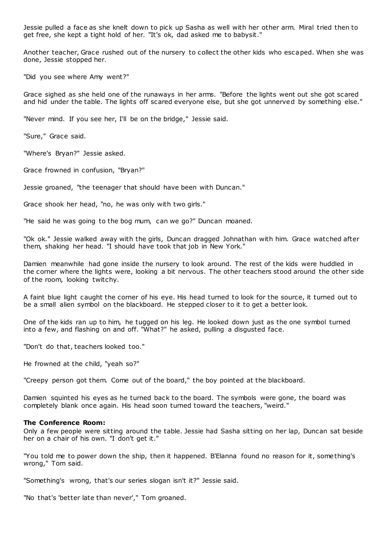Jessie pulled a face as she knelt down to pick up Sasha as well with her other arm. Miral tried then to get free, she kept a tight hold of her. "It's ok, dad asked me to babysit."

Another teacher, Grace rushed out of the nursery to collect the other kids who escaped. When she was done, Jessie stopped her.

"Did you see where Amy went?"

Grace sighed as she held one of the runaways in her arms. "Before the lights went out she got scared and hid under the table. The lights off scared everyone else, but she got unnerved by something else."

"Never mind. If you see her, I'll be on the bridge," Jessie said.

"Sure," Grace said.

"Where's Bryan?" Jessie asked.

Grace frowned in confusion, "Bryan?"

Jessie groaned, "the teenager that should have been with Duncan."

Grace shook her head, "no, he was only with two girls."

"He said he was going to the bog mum, can we go?" Duncan moaned.

"Ok ok." Jessie walked away with the girls, Duncan dragged Johnathan with him. Grace watched after them, shaking her head. "I should have took that job in New York."

Damien meanwhile had gone inside the nursery to look around. The rest of the kids were huddled in the corner where the lights were, looking a bit nervous. The other teachers stood around the other side of the room, looking twitchy.

A faint blue light caught the corner of his eye. His head turned to look for the source, it turned out to be a small alien symbol on the blackboard. He stepped closer to it to get a better look.

One of the kids ran up to him, he tugged on his leg. He looked down just as the one symbol turned into a few, and flashing on and off. "What?" he asked, pulling a disgusted face.

"Don't do that, teachers looked too."

He frowned at the child, "yeah so?"

"Creepy person got them. Come out of the board," the boy pointed at the blackboard.

Damien squinted his eyes as he turned back to the board. The symbols were gone, the board was completely blank once again. His head soon turned toward the teachers, "weird."

### **The Conference Room:**

Only a few people were sitting around the table. Jessie had Sasha sitting on her lap, Duncan sat beside her on a chair of his own. "I don't get it."

"You told me to power down the ship, then it happened. B'Elanna found no reason for it, something's wrong," Tom said.

"Something's wrong, that's our series slogan isn't it?" Jessie said.

"No that's 'better late than never'," Tom groaned.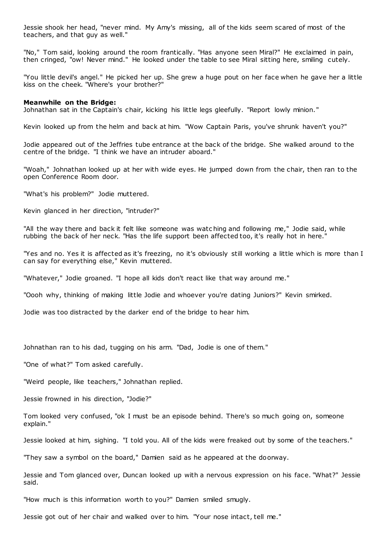Jessie shook her head, "never mind. My Amy's missing, all of the kids seem scared of most of the teachers, and that guy as well."

"No," Tom said, looking around the room frantically. "Has anyone seen Miral?" He exclaimed in pain, then cringed, "ow! Never mind." He looked under the table to see Miral sitting here, smiling cutely.

"You little devil's angel." He picked her up. She grew a huge pout on her face when he gave her a little kiss on the cheek. "Where's your brother?"

#### **Meanwhile on the Bridge:**

Johnathan sat in the Captain's chair, kicking his little legs gleefully. "Report lowly minion."

Kevin looked up from the helm and back at him. "Wow Captain Paris, you've shrunk haven't you?"

Jodie appeared out of the Jeffries tube entrance at the back of the bridge. She walked around to the centre of the bridge. "I think we have an intruder aboard."

"Woah," Johnathan looked up at her with wide eyes. He jumped down from the chair, then ran to the open Conference Room door.

"What's his problem?" Jodie muttered.

Kevin glanced in her direction, "intruder?"

"All the way there and back it felt like someone was watc hing and following me," Jodie said, while rubbing the back of her neck. "Has the life support been affected too, it's really hot in here."

"Yes and no. Yes it is affected as it's freezing, no it's obviously still working a little which is more than I can say for everything else," Kevin muttered.

"Whatever," Jodie groaned. "I hope all kids don't react like that way around me."

"Oooh why, thinking of making little Jodie and whoever you're dating Juniors?" Kevin smirked.

Jodie was too distracted by the darker end of the bridge to hear him.

Johnathan ran to his dad, tugging on his arm. "Dad, Jodie is one of them."

"One of what?" Tom asked carefully.

"Weird people, like teachers," Johnathan replied.

Jessie frowned in his direction, "Jodie?"

Tom looked very confused, "ok I must be an episode behind. There's so much going on, someone explain."

Jessie looked at him, sighing. "I told you. All of the kids were freaked out by some of the teachers."

"They saw a symbol on the board," Damien said as he appeared at the doorway.

Jessie and Tom glanced over, Duncan looked up with a nervous expression on his face. "What?" Jessie said.

"How much is this information worth to you?" Damien smiled smugly.

Jessie got out of her chair and walked over to him. "Your nose intact, tell me."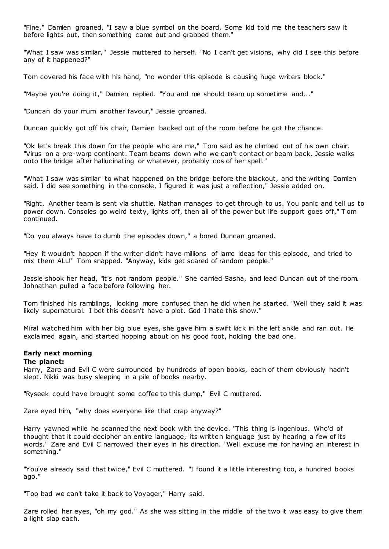"Fine," Damien groaned. "I saw a blue symbol on the board. Some kid told me the teachers saw it before lights out, then something came out and grabbed them."

"What I saw was similar," Jessie muttered to herself. "No I can't get visions, why did I see this before any of it happened?"

Tom covered his face with his hand, "no wonder this episode is causing huge writers block."

"Maybe you're doing it," Damien replied. "You and me should team up sometime and..."

"Duncan do your mum another favour," Jessie groaned.

Duncan quickly got off his chair, Damien backed out of the room before he got the chance.

"Ok let's break this down for the people who are me," Tom said as he climbed out of his own chair. "Virus on a pre-warp continent. Team beams down who we can't contact or beam back. Jessie walks onto the bridge after hallucinating or whatever, probably cos of her spell."

"What I saw was similar to what happened on the bridge before the blackout, and the writing Damien said. I did see something in the console, I figured it was just a reflection," Jessie added on.

"Right. Another team is sent via shuttle. Nathan manages to get through to us. You panic and tell us to power down. Consoles go weird texty, lights off, then all of the power but life support goes off," T om continued.

"Do you always have to dumb the episodes down," a bored Duncan groaned.

"Hey it wouldn't happen if the writer didn't have millions of lame ideas for this episode, and tried to mix them ALL!" Tom snapped. "Anyway, kids get scared of random people."

Jessie shook her head, "it's not random people." She carried Sasha, and lead Duncan out of the room. Johnathan pulled a face before following her.

Tom finished his ramblings, looking more confused than he did when he started. "Well they said it was likely supernatural. I bet this doesn't have a plot. God I hate this show."

Miral watched him with her big blue eyes, she gave him a swift kick in the left ankle and ran out. He exclaimed again, and started hopping about on his good foot, holding the bad one.

# **Early next morning**

**The planet:**

Harry, Zare and Evil C were surrounded by hundreds of open books, each of them obviously hadn't slept. Nikki was busy sleeping in a pile of books nearby.

"Ryseek could have brought some coffee to this dump," Evil C muttered.

Zare eyed him, "why does everyone like that crap anyway?"

Harry yawned while he scanned the next book with the device. "This thing is ingenious. Who'd of thought that it could decipher an entire language, its written language just by hearing a few of its words." Zare and Evil C narrowed their eyes in his direction. "Well excuse me for having an interest in something."

"You've already said that twice," Evil C muttered. "I found it a little interesting too, a hundred books ago."

"Too bad we can't take it back to Voyager," Harry said.

Zare rolled her eyes, "oh my god." As she was sitting in the middle of the two it was easy to give them a light slap each.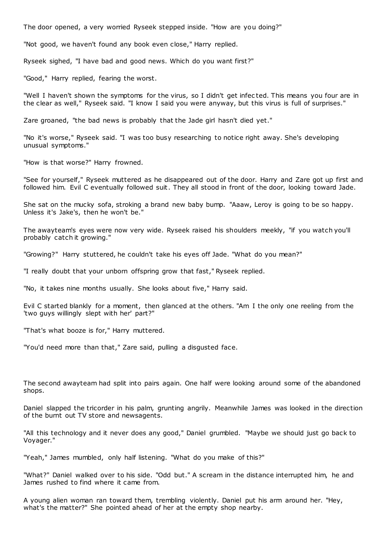The door opened, a very worried Ryseek stepped inside. "How are you doing?"

"Not good, we haven't found any book even close," Harry replied.

Ryseek sighed, "I have bad and good news. Which do you want first?"

"Good," Harry replied, fearing the worst.

"Well I haven't shown the symptoms for the virus, so I didn't get infec ted. This means you four are in the clear as well," Ryseek said. "I know I said you were anyway, but this virus is full of surprises."

Zare groaned, "the bad news is probably that the Jade girl hasn't died yet."

"No it's worse," Ryseek said. "I was too busy researching to notice right away. She's developing unusual symptoms."

"How is that worse?" Harry frowned.

"See for yourself," Ryseek muttered as he disappeared out of the door. Harry and Zare got up first and followed him. Evil C eventually followed suit. They all stood in front of the door, looking toward Jade.

She sat on the mucky sofa, stroking a brand new baby bump. "Aaaw, Leroy is going to be so happy. Unless it's Jake's, then he won't be."

The awayteam's eyes were now very wide. Ryseek raised his shoulders meekly, "if you watch you'll probably catch it growing."

"Growing?" Harry stuttered, he couldn't take his eyes off Jade. "What do you mean?"

"I really doubt that your unborn offspring grow that fast," Ryseek replied.

"No, it takes nine months usually. She looks about five," Harry said.

Evil C started blankly for a moment, then glanced at the others. "Am I the only one reeling from the 'two guys willingly slept with her' part?"

"That's what booze is for," Harry muttered.

"You'd need more than that," Zare said, pulling a disgusted face.

The second awayteam had split into pairs again. One half were looking around some of the abandoned shops.

Daniel slapped the tricorder in his palm, grunting angrily. Meanwhile James was looked in the direction of the burnt out TV store and newsagents.

"All this technology and it never does any good," Daniel grumbled. "Maybe we should just go back to Voyager."

"Yeah," James mumbled, only half listening. "What do you make of this?"

"What?" Daniel walked over to his side. "Odd but." A scream in the distance interrupted him, he and James rushed to find where it came from.

A young alien woman ran toward them, trembling violently. Daniel put his arm around her. "Hey, what's the matter?" She pointed ahead of her at the empty shop nearby.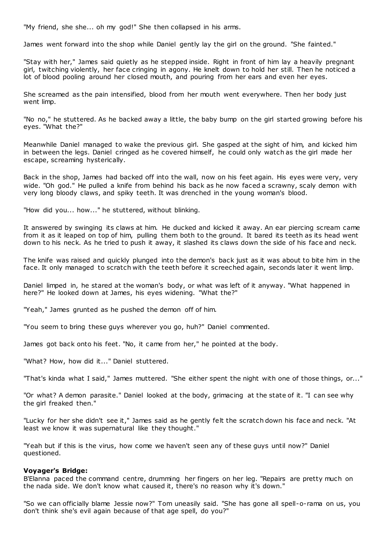"My friend, she she... oh my god!" She then collapsed in his arms.

James went forward into the shop while Daniel gently lay the girl on the ground. "She fainted."

"Stay with her," James said quietly as he stepped inside. Right in front of him lay a heavily pregnant girl, twitching violently, her face cringing in agony. He knelt down to hold her still. Then he noticed a lot of blood pooling around her closed mouth, and pouring from her ears and even her eyes.

She screamed as the pain intensified, blood from her mouth went everywhere. Then her body just went limp.

"No no," he stuttered. As he backed away a little, the baby bump on the girl started growing before his eyes. "What the?"

Meanwhile Daniel managed to wake the previous girl. She gasped at the sight of him, and kicked him in between the legs. Daniel cringed as he covered himself, he could only watch as the girl made her escape, screaming hysterically.

Back in the shop, James had backed off into the wall, now on his feet again. His eyes were very, very wide. "Oh god." He pulled a knife from behind his back as he now faced a scrawny, scaly demon with very long bloody claws, and spiky teeth. It was drenched in the young woman's blood.

"How did you... how..." he stuttered, without blinking.

It answered by swinging its claws at him. He ducked and kicked it away. An ear piercing scream came from it as it leaped on top of him, pulling them both to the ground. It bared its teeth as its head went down to his neck. As he tried to push it away, it slashed its claws down the side of his face and neck.

The knife was raised and quickly plunged into the demon's back just as it was about to bite him in the face. It only managed to scratch with the teeth before it screeched again, seconds later it went limp.

Daniel limped in, he stared at the woman's body, or what was left of it anyway. "What happened in here?" He looked down at James, his eyes widening. "What the?"

"Yeah," James grunted as he pushed the demon off of him.

"You seem to bring these guys wherever you go, huh?" Daniel commented.

James got back onto his feet. "No, it came from her," he pointed at the body.

"What? How, how did it..." Daniel stuttered.

"That's kinda what I said," James muttered. "She either spent the night with one of those things, or..."

"Or what? A demon parasite." Daniel looked at the body, grimacing at the state of it. "I can see why the girl freaked then."

"Lucky for her she didn't see it," James said as he gently felt the scratch down his face and neck. "At least we know it was supernatural like they thought."

"Yeah but if this is the virus, how come we haven't seen any of these guys until now?" Daniel questioned.

### **Voyager's Bridge:**

B'Elanna paced the command centre, drumming her fingers on her leg. "Repairs are pretty much on the nada side. We don't know what caused it, there's no reason why it's down."

"So we can officially blame Jessie now?" Tom uneasily said. "She has gone all spell-o-rama on us, you don't think she's evil again because of that age spell, do you?"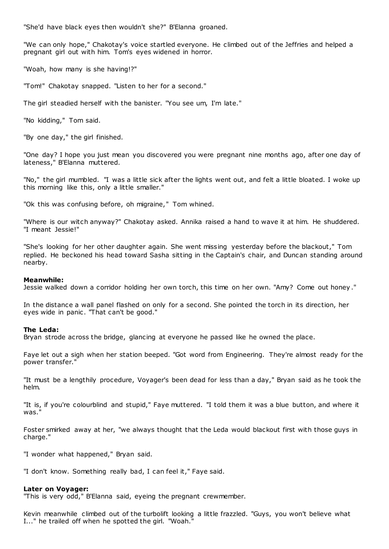"She'd have black eyes then wouldn't she?" B'Elanna groaned.

"We can only hope," Chakotay's voice startled everyone. He climbed out of the Jeffries and helped a pregnant girl out with him. Tom's eyes widened in horror.

"Woah, how many is she having!?"

"Tom!" Chakotay snapped. "Listen to her for a second."

The girl steadied herself with the banister. "You see um, I'm late."

"No kidding," Tom said.

"By one day," the girl finished.

"One day? I hope you just mean you discovered you were pregnant nine months ago, after one day of lateness," B'Elanna muttered.

"No," the girl mumbled. "I was a little sick after the lights went out, and felt a little bloated. I woke up this morning like this, only a little smaller."

"Ok this was confusing before, oh migraine," Tom whined.

"Where is our witch anyway?" Chakotay asked. Annika raised a hand to wave it at him. He shuddered. "I meant Jessie!"

"She's looking for her other daughter again. She went missing yesterday before the blackout," Tom replied. He beckoned his head toward Sasha sitting in the Captain's chair, and Duncan standing around nearby.

### **Meanwhile:**

Jessie walked down a corridor holding her own torch, this time on her own. "Amy? Come out honey ."

In the distance a wall panel flashed on only for a second. She pointed the torch in its direction, her eyes wide in panic. "That can't be good."

### **The Leda:**

Bryan strode across the bridge, glancing at everyone he passed like he owned the place.

Faye let out a sigh when her station beeped. "Got word from Engineering. They're almost ready for the power transfer."

"It must be a lengthily procedure, Voyager's been dead for less than a day," Bryan said as he took the helm.

"It is, if you're colourblind and stupid," Faye muttered. "I told them it was a blue button, and where it was."

Foster smirked away at her, "we always thought that the Leda would blackout first with those guys in charge."

"I wonder what happened," Bryan said.

"I don't know. Something really bad, I can feel it," Faye said.

# **Later on Voyager:**

"This is very odd," B'Elanna said, eyeing the pregnant crewmember.

Kevin meanwhile climbed out of the turbolift looking a little frazzled. "Guys, you won't believe what I..." he trailed off when he spotted the girl. "Woah."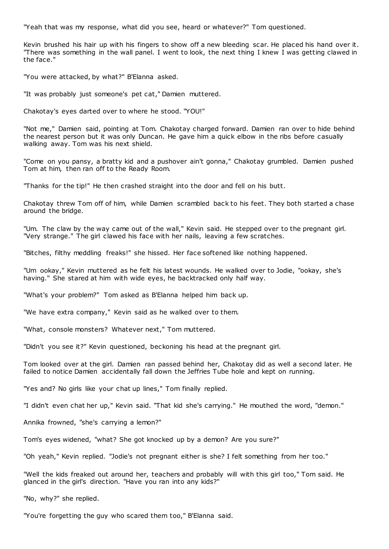"Yeah that was my response, what did you see, heard or whatever?" Tom questioned.

Kevin brushed his hair up with his fingers to show off a new bleeding scar. He placed his hand over it. "There was something in the wall panel. I went to look, the next thing I knew I was getting clawed in the face."

"You were attacked, by what?" B'Elanna asked.

"It was probably just someone's pet cat," Damien muttered.

Chakotay's eyes darted over to where he stood. "YOU!"

"Not me," Damien said, pointing at Tom. Chakotay charged forward. Damien ran over to hide behind the nearest person but it was only Duncan. He gave him a quick elbow in the ribs before casually walking away. Tom was his next shield.

"Come on you pansy, a bratty kid and a pushover ain't gonna," Chakotay grumbled. Damien pushed Tom at him, then ran off to the Ready Room.

"Thanks for the tip!" He then crashed straight into the door and fell on his butt.

Chakotay threw Tom off of him, while Damien scrambled back to his feet. They both started a chase around the bridge.

"Um. The claw by the way came out of the wall," Kevin said. He stepped over to the pregnant girl. "Very strange." The girl clawed his face with her nails, leaving a few scratches.

"Bitches, filthy meddling freaks!" she hissed. Her face softened like nothing happened.

"Um ookay," Kevin muttered as he felt his latest wounds. He walked over to Jodie, "ookay, she's having." She stared at him with wide eyes, he backtracked only half way.

"What's your problem?" Tom asked as B'Elanna helped him back up.

"We have extra company," Kevin said as he walked over to them.

"What, console monsters? Whatever next," Tom muttered.

"Didn't you see it?" Kevin questioned, beckoning his head at the pregnant girl.

Tom looked over at the girl. Damien ran passed behind her, Chakotay did as well a second later. He failed to notice Damien accidentally fall down the Jeffries Tube hole and kept on running.

"Yes and? No girls like your chat up lines," Tom finally replied.

"I didn't even chat her up," Kevin said. "That kid she's carrying." He mouthed the word, "demon."

Annika frowned, "she's carrying a lemon?"

Tom's eyes widened, "what? She got knocked up by a demon? Are you sure?"

"Oh yeah," Kevin replied. "Jodie's not pregnant either is she? I felt something from her too."

"Well the kids freaked out around her, teachers and probably will with this girl too," Tom said. He glanced in the girl's direction. "Have you ran into any kids?"

"No, why?" she replied.

"You're forgetting the guy who scared them too," B'Elanna said.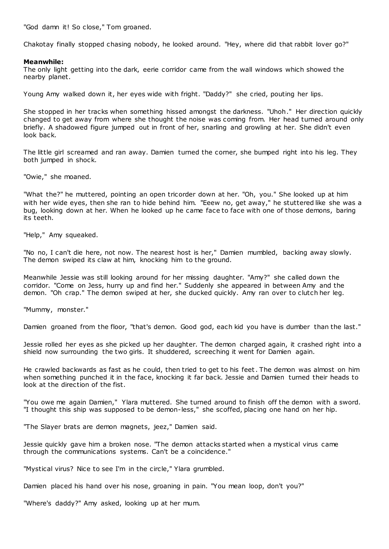"God damn it! So close," Tom groaned.

Chakotay finally stopped chasing nobody, he looked around. "Hey, where did that rabbit lover go?"

# **Meanwhile:**

The only light getting into the dark, eerie corridor came from the wall windows which showed the nearby planet.

Young Amy walked down it, her eyes wide with fright. "Daddy?" she cried, pouting her lips.

She stopped in her tracks when something hissed amongst the darkness. "Uhoh." Her direction quickly changed to get away from where she thought the noise was coming from. Her head turned around only briefly. A shadowed figure jumped out in front of her, snarling and growling at her. She didn't even look back.

The little girl screamed and ran away. Damien turned the corner, she bumped right into his leg. They both jumped in shock.

"Owie," she moaned.

"What the?" he muttered, pointing an open tricorder down at her. "Oh, you." She looked up at him with her wide eyes, then she ran to hide behind him. "Eeew no, get away," he stuttered like she was a bug, looking down at her. When he looked up he came face to face with one of those demons, baring its teeth.

"Help," Amy squeaked.

"No no, I can't die here, not now. The nearest host is her," Damien mumbled, backing away slowly. The demon swiped its claw at him, knocking him to the ground.

Meanwhile Jessie was still looking around for her missing daughter. "Amy?" she called down the corridor. "Come on Jess, hurry up and find her." Suddenly she appeared in between Amy and the demon. "Oh crap." The demon swiped at her, she ducked quickly. Amy ran over to clutch her leg.

"Mummy, monster."

Damien groaned from the floor, "that's demon. Good god, each kid you have is dumber than the last."

Jessie rolled her eyes as she picked up her daughter. The demon charged again, it crashed right into a shield now surrounding the two girls. It shuddered, screeching it went for Damien again.

He crawled backwards as fast as he could, then tried to get to his feet. The demon was almost on him when something punched it in the face, knocking it far back. Jessie and Damien turned their heads to look at the direction of the fist.

"You owe me again Damien," Ylara muttered. She turned around to finish off the demon with a sword. "I thought this ship was supposed to be demon-less," she scoffed, placing one hand on her hip.

"The Slayer brats are demon magnets, jeez," Damien said.

Jessie quickly gave him a broken nose. "The demon attacks started when a mystical virus came through the communications systems. Can't be a coincidence."

"Mystical virus? Nice to see I'm in the circle," Ylara grumbled.

Damien placed his hand over his nose, groaning in pain. "You mean loop, don't you?"

"Where's daddy?" Amy asked, looking up at her mum.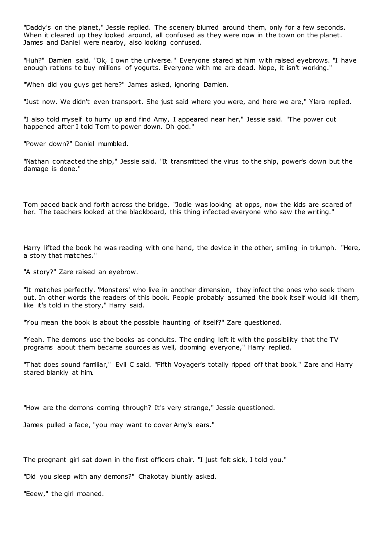"Daddy's on the planet," Jessie replied. The scenery blurred around them, only for a few seconds. When it cleared up they looked around, all confused as they were now in the town on the planet. James and Daniel were nearby, also looking confused.

"Huh?" Damien said. "Ok, I own the universe." Everyone stared at him with raised eyebrows. "I have enough rations to buy millions of yogurts. Everyone with me are dead. Nope, it isn't working."

"When did you guys get here?" James asked, ignoring Damien.

"Just now. We didn't even transport. She just said where you were, and here we are," Ylara replied.

"I also told myself to hurry up and find Amy, I appeared near her," Jessie said. "The power cut happened after I told Tom to power down. Oh god."

"Power down?" Daniel mumbled.

"Nathan contacted the ship," Jessie said. "It transmitted the virus to the ship, power's down but the damage is done."

Tom paced back and forth across the bridge. "Jodie was looking at opps, now the kids are scared of her. The teachers looked at the blackboard, this thing infected everyone who saw the writing."

Harry lifted the book he was reading with one hand, the device in the other, smiling in triumph. "Here, a story that matches."

"A story?" Zare raised an eyebrow.

"It matches perfectly. 'Monsters' who live in another dimension, they infect the ones who seek them out. In other words the readers of this book. People probably assumed the book itself would kill them, like it's told in the story," Harry said.

"You mean the book is about the possible haunting of itself?" Zare questioned.

"Yeah. The demons use the books as conduits. The ending left it with the possibility that the TV programs about them became sources as well, dooming everyone," Harry replied.

"That does sound familiar," Evil C said. "Fifth Voyager's totally ripped off that book." Zare and Harry stared blankly at him.

"How are the demons coming through? It's very strange," Jessie questioned.

James pulled a face, "you may want to cover Amy's ears."

The pregnant girl sat down in the first officers chair. "I just felt sick, I told you."

"Did you sleep with any demons?" Chakotay bluntly asked.

"Eeew," the girl moaned.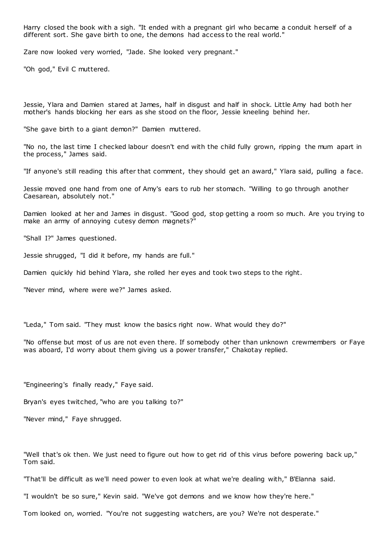Harry closed the book with a sigh. "It ended with a pregnant girl who became a conduit herself of a different sort. She gave birth to one, the demons had access to the real world."

Zare now looked very worried, "Jade. She looked very pregnant."

"Oh god," Evil C muttered.

Jessie, Ylara and Damien stared at James, half in disgust and half in shock. Little Amy had both her mother's hands blocking her ears as she stood on the floor, Jessie kneeling behind her.

"She gave birth to a giant demon?" Damien muttered.

"No no, the last time I checked labour doesn't end with the child fully grown, ripping the mum apart in the process," James said.

"If anyone's still reading this after that comment, they should get an award," Ylara said, pulling a face.

Jessie moved one hand from one of Amy's ears to rub her stomach. "Willing to go through another Caesarean, absolutely not."

Damien looked at her and James in disgust. "Good god, stop getting a room so much. Are you trying to make an army of annoying cutesy demon magnets?"

"Shall I?" James questioned.

Jessie shrugged, "I did it before, my hands are full."

Damien quickly hid behind Ylara, she rolled her eyes and took two steps to the right.

"Never mind, where were we?" James asked.

"Leda," Tom said. "They must know the basics right now. What would they do?"

"No offense but most of us are not even there. If somebody other than unknown crewmembers or Faye was aboard, I'd worry about them giving us a power transfer," Chakotay replied.

"Engineering's finally ready," Faye said.

Bryan's eyes twitched, "who are you talking to?"

"Never mind," Faye shrugged.

"Well that's ok then. We just need to figure out how to get rid of this virus before powering back up," Tom said.

"That'll be difficult as we'll need power to even look at what we're dealing with," B'Elanna said.

"I wouldn't be so sure," Kevin said. "We've got demons and we know how they're here."

Tom looked on, worried. "You're not suggesting watchers, are you? We're not desperate."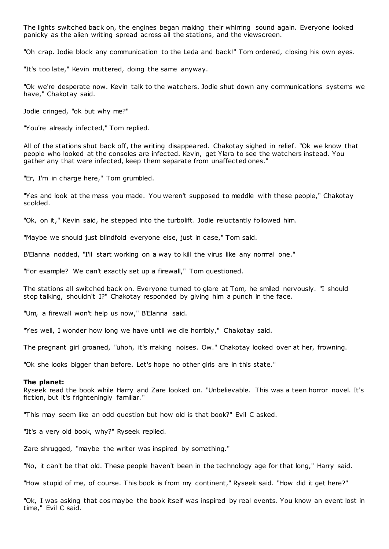The lights switched back on, the engines began making their whirring sound again. Everyone looked panicky as the alien writing spread across all the stations, and the viewscreen.

"Oh crap. Jodie block any communication to the Leda and back!" Tom ordered, closing his own eyes.

"It's too late," Kevin muttered, doing the same anyway.

"Ok we're desperate now. Kevin talk to the watchers. Jodie shut down any communications systems we have," Chakotay said.

Jodie cringed, "ok but why me?"

"You're already infected," Tom replied.

All of the stations shut back off, the writing disappeared. Chakotay sighed in relief. "Ok we know that people who looked at the consoles are infected. Kevin, get Ylara to see the watchers instead. You gather any that were infected, keep them separate from unaffected ones."

"Er, I'm in charge here," Tom grumbled.

"Yes and look at the mess you made. You weren't supposed to meddle with these people," Chakotay scolded.

"Ok, on it," Kevin said, he stepped into the turbolift. Jodie reluctantly followed him.

"Maybe we should just blindfold everyone else, just in case," Tom said.

B'Elanna nodded, "I'll start working on a way to kill the virus like any normal one."

"For example? We can't exactly set up a firewall," Tom questioned.

The stations all switched back on. Everyone turned to glare at Tom, he smiled nervously. "I should stop talking, shouldn't I?" Chakotay responded by giving him a punch in the face.

"Um, a firewall won't help us now," B'Elanna said.

"Yes well, I wonder how long we have until we die horribly," Chakotay said.

The pregnant girl groaned, "uhoh, it's making noises. Ow." Chakotay looked over at her, frowning.

"Ok she looks bigger than before. Let's hope no other girls are in this state."

#### **The planet:**

Ryseek read the book while Harry and Zare looked on. "Unbelievable. This was a teen horror novel. It's fiction, but it's frighteningly familiar."

"This may seem like an odd question but how old is that book?" Evil C asked.

"It's a very old book, why?" Ryseek replied.

Zare shrugged, "maybe the writer was inspired by something."

"No, it can't be that old. These people haven't been in the technology age for that long," Harry said.

"How stupid of me, of course. This book is from my continent," Ryseek said. "How did it get here?"

"Ok, I was asking that cos maybe the book itself was inspired by real events. You know an event lost in time," Evil C said.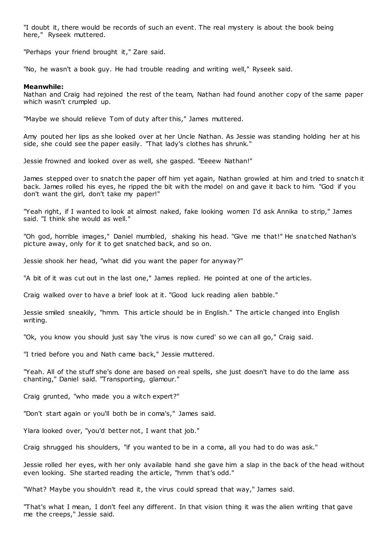"I doubt it, there would be records of such an event. The real mystery is about the book being here," Ryseek muttered.

"Perhaps your friend brought it," Zare said.

"No, he wasn't a book guy. He had trouble reading and writing well," Ryseek said.

## **Meanwhile:**

Nathan and Craig had rejoined the rest of the team, Nathan had found another copy of the same paper which wasn't crumpled up.

"Maybe we should relieve Tom of duty after this," James muttered.

Amy pouted her lips as she looked over at her Uncle Nathan. As Jessie was standing holding her at his side, she could see the paper easily. "That lady's clothes has shrunk."

Jessie frowned and looked over as well, she gasped. "Eeeew Nathan!"

James stepped over to snatch the paper off him yet again, Nathan growled at him and tried to snatch it back. James rolled his eyes, he ripped the bit with the model on and gave it back to him. "God if you don't want the girl, don't take my paper!"

"Yeah right, if I wanted to look at almost naked, fake looking women I'd ask Annika to strip," James said. "I think she would as well."

"Oh god, horrible images," Daniel mumbled, shaking his head. "Give me that!" He snatched Nathan's picture away, only for it to get snatched back, and so on.

Jessie shook her head, "what did you want the paper for anyway?"

"A bit of it was cut out in the last one," James replied. He pointed at one of the articles.

Craig walked over to have a brief look at it. "Good luck reading alien babble."

Jessie smiled sneakily, "hmm. This article should be in English." The article changed into English writing.

"Ok, you know you should just say 'the virus is now cured' so we can all go," Craig said.

"I tried before you and Nath came back," Jessie muttered.

"Yeah. All of the stuff she's done are based on real spells, she just doesn't have to do the lame ass chanting," Daniel said. "Transporting, glamour."

Craig grunted, "who made you a witch expert?"

"Don't start again or you'll both be in coma's," James said.

Ylara looked over, "you'd better not, I want that job."

Craig shrugged his shoulders, "if you wanted to be in a coma, all you had to do was ask."

Jessie rolled her eyes, with her only available hand she gave him a slap in the back of the head without even looking. She started reading the article, "hmm that's odd."

"What? Maybe you shouldn't read it, the virus could spread that way," James said.

"That's what I mean, I don't feel any different. In that vision thing it was the alien writing that gave me the creeps," Jessie said.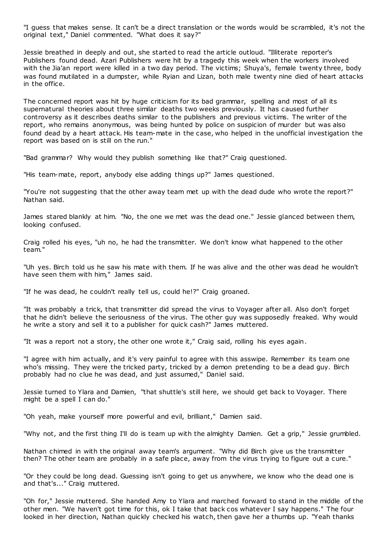"I guess that makes sense. It can't be a direct translation or the words would be scrambled, it's not the original text," Daniel commented. "What does it say?"

Jessie breathed in deeply and out, she started to read the article outloud. "Illiterate reporter's Publishers found dead. Azari Publishers were hit by a tragedy this week when the workers involved with the Jia'an report were killed in a two day period. The victims; Shuya's, female twenty three, body was found mutilated in a dumpster, while Ryian and Lizan, both male twenty nine died of heart attacks in the office.

The concerned report was hit by huge criticism for its bad grammar, spelling and most of all its supernatural theories about three similar deaths two weeks previously. It has caused further controversy as it describes deaths similar to the publishers and previous victims. The writer of the report, who remains anonymous, was being hunted by police on suspicion of murder but was also found dead by a heart attack. His team-mate in the case, who helped in the unofficial investigation the report was based on is still on the run."

"Bad grammar? Why would they publish something like that?" Craig questioned.

"His team-mate, report, anybody else adding things up?" James questioned.

"You're not suggesting that the other away team met up with the dead dude who wrote the report?" Nathan said.

James stared blankly at him. "No, the one we met was the dead one." Jessie glanced between them, looking confused.

Craig rolled his eyes, "uh no, he had the transmitter. We don't know what happened to the other team."

"Uh yes. Birch told us he saw his mate with them. If he was alive and the other was dead he wouldn't have seen them with him," James said.

"If he was dead, he couldn't really tell us, could he!?" Craig groaned.

"It was probably a trick, that transmitter did spread the virus to Voyager after all. Also don't forget that he didn't believe the seriousness of the virus. The other guy was supposedly freaked. Why would he write a story and sell it to a publisher for quick cash?" James muttered.

"It was a report not a story, the other one wrote it," Craig said, rolling his eyes again.

"I agree with him actually, and it's very painful to agree with this asswipe. Remember its team one who's missing. They were the tricked party, tricked by a demon pretending to be a dead guy. Birch probably had no clue he was dead, and just assumed," Daniel said.

Jessie turned to Ylara and Damien, "that shuttle's still here, we should get back to Voyager. There might be a spell I can do."

"Oh yeah, make yourself more powerful and evil, brilliant," Damien said.

"Why not, and the first thing I'll do is team up with the almighty Damien. Get a grip," Jessie grumbled.

Nathan chimed in with the original away team's argument. "Why did Birch give us the transmitter then? The other team are probably in a safe place, away from the virus trying to figure out a cure."

"Or they could be long dead. Guessing isn't going to get us anywhere, we know who the dead one is and that's..." Craig muttered.

"Oh for," Jessie muttered. She handed Amy to Ylara and marched forward to stand in the middle of the other men. "We haven't got time for this, ok I take that back cos whatever I say happens." The four looked in her direction, Nathan quickly checked his watch, then gave her a thumbs up. "Yeah thanks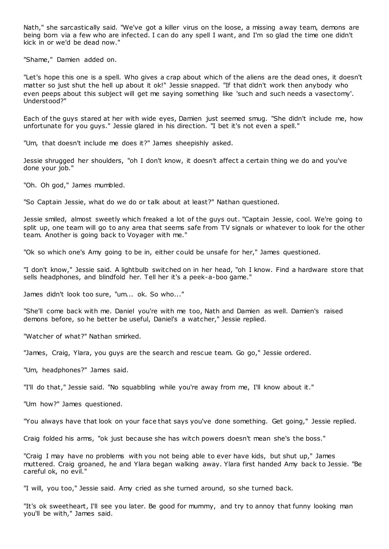Nath," she sarcastically said. "We've got a killer virus on the loose, a missing away team, demons are being born via a few who are infected. I can do any spell I want, and I'm so glad the time one didn't kick in or we'd be dead now."

"Shame," Damien added on.

"Let's hope this one is a spell. Who gives a crap about which of the aliens are the dead ones, it doesn't matter so just shut the hell up about it ok!" Jessie snapped. "If that didn't work then anybody who even peeps about this subject will get me saying something like 'such and such needs a vasectomy'. Understood?"

Each of the guys stared at her with wide eyes, Damien just seemed smug. "She didn't include me, how unfortunate for you guys." Jessie glared in his direction. "I bet it's not even a spell."

"Um, that doesn't include me does it?" James sheepishly asked.

Jessie shrugged her shoulders, "oh I don't know, it doesn't affect a certain thing we do and you've done your job."

"Oh. Oh god," James mumbled.

"So Captain Jessie, what do we do or talk about at least?" Nathan questioned.

Jessie smiled, almost sweetly which freaked a lot of the guys out. "Captain Jessie, cool. We're going to split up, one team will go to any area that seems safe from TV signals or whatever to look for the other team. Another is going back to Voyager with me."

"Ok so which one's Amy going to be in, either could be unsafe for her," James questioned.

"I don't know," Jessie said. A lightbulb switched on in her head, "oh I know. Find a hardware store that sells headphones, and blindfold her. Tell her it's a peek-a-boo game."

James didn't look too sure, "um... ok. So who..."

"She'll come back with me. Daniel you're with me too, Nath and Damien as well. Damien's raised demons before, so he better be useful, Daniel's a watcher," Jessie replied.

"Watcher of what?" Nathan smirked.

"James, Craig, Ylara, you guys are the search and rescue team. Go go," Jessie ordered.

"Um, headphones?" James said.

"I'll do that," Jessie said. "No squabbling while you're away from me, I'll know about it."

"Um how?" James questioned.

"You always have that look on your face that says you've done something. Get going," Jessie replied.

Craig folded his arms, "ok just because she has witch powers doesn't mean she's the boss."

"Craig I may have no problems with you not being able to ever have kids, but shut up," James muttered. Craig groaned, he and Ylara began walking away. Ylara first handed Amy back to Jessie. "Be careful ok, no evil."

"I will, you too," Jessie said. Amy cried as she turned around, so she turned back.

"It's ok sweetheart, I'll see you later. Be good for mummy, and try to annoy that funny looking man you'll be with," James said.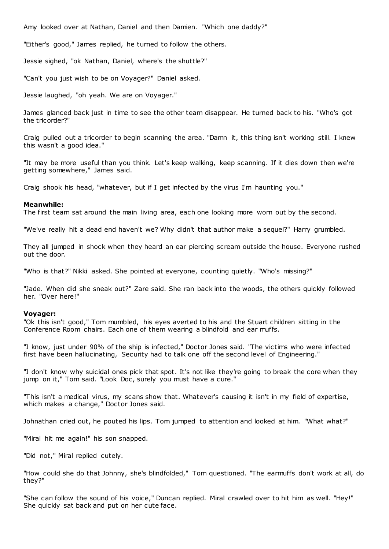Amy looked over at Nathan, Daniel and then Damien. "Which one daddy?"

"Either's good," James replied, he turned to follow the others.

Jessie sighed, "ok Nathan, Daniel, where's the shuttle?"

"Can't you just wish to be on Voyager?" Daniel asked.

Jessie laughed, "oh yeah. We are on Voyager."

James glanced back just in time to see the other team disappear. He turned back to his. "Who's got the tricorder?"

Craig pulled out a tricorder to begin scanning the area. "Damn it, this thing isn't working still. I knew this wasn't a good idea."

"It may be more useful than you think. Let's keep walking, keep scanning. If it dies down then we're getting somewhere," James said.

Craig shook his head, "whatever, but if I get infected by the virus I'm haunting you."

### **Meanwhile:**

The first team sat around the main living area, each one looking more worn out by the second.

"We've really hit a dead end haven't we? Why didn't that author make a sequel?" Harry grumbled.

They all jumped in shock when they heard an ear piercing scream outside the house. Everyone rushed out the door.

"Who is that?" Nikki asked. She pointed at everyone, c ounting quietly. "Who's missing?"

"Jade. When did she sneak out?" Zare said. She ran back into the woods, the others quickly followed her. "Over here!"

## **Voyager:**

"Ok this isn't good," Tom mumbled, his eyes averted to his and the Stuart children sitting in t he Conference Room chairs. Each one of them wearing a blindfold and ear muffs.

"I know, just under 90% of the ship is infected," Doctor Jones said. "The victims who were infected first have been hallucinating, Security had to talk one off the second level of Engineering."

"I don't know why suicidal ones pick that spot. It's not like they're going to break the core when they jump on it," Tom said. "Look Doc, surely you must have a cure."

"This isn't a medical virus, my scans show that. Whatever's causing it isn't in my field of expertise, which makes a change," Doctor Jones said.

Johnathan cried out, he pouted his lips. Tom jumped to attention and looked at him. "What what?"

"Miral hit me again!" his son snapped.

"Did not," Miral replied cutely.

"How could she do that Johnny, she's blindfolded," Tom questioned. "The earmuffs don't work at all, do they?"

"She can follow the sound of his voice," Duncan replied. Miral crawled over to hit him as well. "Hey!" She quickly sat back and put on her cute face.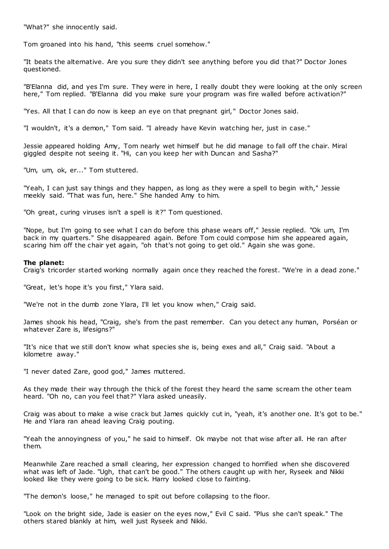"What?" she innocently said.

Tom groaned into his hand, "this seems cruel somehow."

"It beats the alternative. Are you sure they didn't see anything before you did that?" Doctor Jones questioned.

"B'Elanna did, and yes I'm sure. They were in here, I really doubt they were looking at the only screen here," Tom replied. "B'Elanna did you make sure your program was fire walled before activation?"

"Yes. All that I can do now is keep an eye on that pregnant girl," Doctor Jones said.

"I wouldn't, it's a demon," Tom said. "I already have Kevin watching her, just in case."

Jessie appeared holding Amy, Tom nearly wet himself but he did manage to fall off the chair. Miral giggled despite not seeing it. "Hi, can you keep her with Duncan and Sasha?"

"Um, um, ok, er..." Tom stuttered.

"Yeah, I can just say things and they happen, as long as they were a spell to begin with," Jessie meekly said. "That was fun, here." She handed Amy to him.

"Oh great, curing viruses isn't a spell is it?" Tom questioned.

"Nope, but I'm going to see what I can do before this phase wears off," Jessie replied. "Ok um, I'm back in my quarters." She disappeared again. Before Tom could compose him she appeared again, scaring him off the chair yet again, "oh that's not going to get old." Again she was gone.

### **The planet:**

Craig's tricorder started working normally again once they reached the forest. "We're in a dead zone."

"Great, let's hope it's you first," Ylara said.

"We're not in the dumb zone Ylara, I'll let you know when," Craig said.

James shook his head, "Craig, she's from the past remember. Can you detect any human, Porséan or whatever Zare is, lifesigns?"

"It's nice that we still don't know what species she is, being exes and all," Craig said. "About a kilometre away."

"I never dated Zare, good god," James muttered.

As they made their way through the thick of the forest they heard the same scream the other team heard. "Oh no, can you feel that?" Ylara asked uneasily.

Craig was about to make a wise crack but James quickly cut in, "yeah, it's another one. It's got to be." He and Ylara ran ahead leaving Craig pouting.

"Yeah the annoyingness of you," he said to himself. Ok maybe not that wise after all. He ran after them.

Meanwhile Zare reached a small clearing, her expression changed to horrified when she discovered what was left of Jade. "Ugh, that can't be good." The others caught up with her, Ryseek and Nikki looked like they were going to be sick. Harry looked close to fainting.

"The demon's loose," he managed to spit out before collapsing to the floor.

"Look on the bright side, Jade is easier on the eyes now," Evil C said. "Plus she can't speak." The others stared blankly at him, well just Ryseek and Nikki.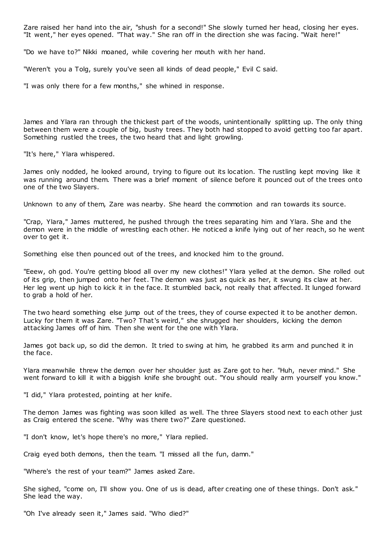Zare raised her hand into the air, "shush for a second!" She slowly turned her head, closing her eyes. "It went," her eyes opened. "That way." She ran off in the direction she was facing. "Wait here!"

"Do we have to?" Nikki moaned, while covering her mouth with her hand.

"Weren't you a Tolg, surely you've seen all kinds of dead people," Evil C said.

"I was only there for a few months," she whined in response.

James and Ylara ran through the thickest part of the woods, unintentionally splitting up. The only thing between them were a couple of big, bushy trees. They both had stopped to avoid getting too far apart. Something rustled the trees, the two heard that and light growling.

"It's here," Ylara whispered.

James only nodded, he looked around, trying to figure out its location. The rustling kept moving like it was running around them. There was a brief moment of silence before it pounced out of the trees onto one of the two Slayers.

Unknown to any of them, Zare was nearby. She heard the commotion and ran towards its source.

"Crap, Ylara," James muttered, he pushed through the trees separating him and Ylara. She and the demon were in the middle of wrestling each other. He noticed a knife lying out of her reach, so he went over to get it.

Something else then pounced out of the trees, and knocked him to the ground.

"Eeew, oh god. You're getting blood all over my new clothes!" Ylara yelled at the demon. She rolled out of its grip, then jumped onto her feet. The demon was just as quick as her, it swung its claw at her. Her leg went up high to kick it in the face. It stumbled back, not really that affected. It lunged forward to grab a hold of her.

The two heard something else jump out of the trees, they of course expected it to be another demon. Lucky for them it was Zare. "Two? That's weird," she shrugged her shoulders, kicking the demon attacking James off of him. Then she went for the one with Ylara.

James got back up, so did the demon. It tried to swing at him, he grabbed its arm and punched it in the face.

Ylara meanwhile threw the demon over her shoulder just as Zare got to her. "Huh, never mind." She went forward to kill it with a biggish knife she brought out. "You should really arm yourself you know."

"I did," Ylara protested, pointing at her knife.

The demon James was fighting was soon killed as well. The three Slayers stood next to each other just as Craig entered the scene. "Why was there two?" Zare questioned.

"I don't know, let's hope there's no more," Ylara replied.

Craig eyed both demons, then the team. "I missed all the fun, damn."

"Where's the rest of your team?" James asked Zare.

She sighed, "come on, I'll show you. One of us is dead, after creating one of these things. Don't ask." She lead the way.

"Oh I've already seen it," James said. "Who died?"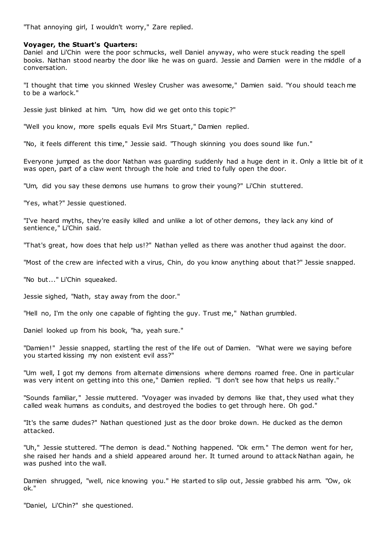"That annoying girl, I wouldn't worry," Zare replied.

## **Voyager, the Stuart's Quarters:**

Daniel and Li'Chin were the poor schmucks, well Daniel anyway, who were stuck reading the spell books. Nathan stood nearby the door like he was on guard. Jessie and Damien were in the middle of a conversation.

"I thought that time you skinned Wesley Crusher was awesome," Damien said. "You should teach me to be a warlock."

Jessie just blinked at him. "Um, how did we get onto this topic?"

"Well you know, more spells equals Evil Mrs Stuart," Damien replied.

"No, it feels different this time," Jessie said. "Though skinning you does sound like fun."

Everyone jumped as the door Nathan was guarding suddenly had a huge dent in it. Only a little bit of it was open, part of a claw went through the hole and tried to fully open the door.

"Um, did you say these demons use humans to grow their young?" Li'Chin stuttered.

"Yes, what?" Jessie questioned.

"I've heard myths, they're easily killed and unlike a lot of other demons, they lack any kind of sentience," Li'Chin said.

"That's great, how does that help us!?" Nathan yelled as there was another thud against the door.

"Most of the crew are infected with a virus, Chin, do you know anything about that?" Jessie snapped.

"No but..." Li'Chin squeaked.

Jessie sighed, "Nath, stay away from the door."

"Hell no, I'm the only one capable of fighting the guy. Trust me," Nathan grumbled.

Daniel looked up from his book, "ha, yeah sure."

"Damien!" Jessie snapped, startling the rest of the life out of Damien. "What were we saying before you started kissing my non existent evil ass?"

"Um well, I got my demons from alternate dimensions where demons roamed free. One in particular was very intent on getting into this one," Damien replied. "I don't see how that helps us really."

"Sounds familiar," Jessie muttered. "Voyager was invaded by demons like that, they used what they called weak humans as conduits, and destroyed the bodies to get through here. Oh god."

"It's the same dudes?" Nathan questioned just as the door broke down. He ducked as the demon attacked.

"Uh," Jessie stuttered. "The demon is dead." Nothing happened. "Ok erm." The demon went for her, she raised her hands and a shield appeared around her. It turned around to attack Nathan again, he was pushed into the wall.

Damien shrugged, "well, nice knowing you." He started to slip out, Jessie grabbed his arm. "Ow, ok ok."

"Daniel, Li'Chin?" she questioned.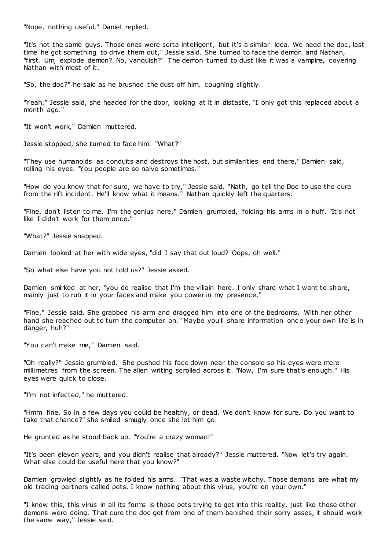"Nope, nothing useful," Daniel replied.

"It's not the same guys. Those ones were sorta intelligent, but it's a similar idea. We need the doc , last time he got something to drive them out," Jessie said. She turned to face the demon and Nathan, "first. Um, explode demon? No, vanquish?" The demon turned to dust like it was a vampire, covering Nathan with most of it.

"So, the doc?" he said as he brushed the dust off him, coughing slightly.

"Yeah," Jessie said, she headed for the door, looking at it in distaste. "I only got this replaced about a month ago."

"It won't work," Damien muttered.

Jessie stopped, she turned to face him. "What?"

"They use humanoids as conduits and destroys the host, but similarities end there," Damien said, rolling his eyes. "You people are so naive sometimes."

"How do you know that for sure, we have to try," Jessie said. "Nath, go tell the Doc to use the cure from the rift incident. He'll know what it means." Nathan quickly left the quarters.

"Fine, don't listen to me. I'm the genius here," Damien grumbled, folding his arms in a huff. "It's not like I didn't work for them once."

"What?" Jessie snapped.

Damien looked at her with wide eyes, "did I say that out loud? Oops, oh well."

"So what else have you not told us?" Jessie asked.

Damien smirked at her, "you do realise that I'm the villain here. I only share what I want to share, mainly just to rub it in your faces and make you cower in my presence."

"Fine," Jessie said. She grabbed his arm and dragged him into one of the bedrooms. With her other hand she reached out to turn the computer on. "Maybe you'll share information once your own life is in danger, huh?"

"You can't make me," Damien said.

"Oh really?" Jessie grumbled. She pushed his face down near the console so his eyes were mere millimetres from the screen. The alien writing scrolled across it. "Now, I'm sure that's enough." His eyes were quick to close.

"I'm not infected," he muttered.

"Hmm fine. So in a few days you could be healthy, or dead. We don't know for sure. Do you want to take that chance?" she smiled smugly once she let him go.

He grunted as he stood back up. "You're a crazy woman!"

"It's been eleven years, and you didn't realise that already?" Jessie muttered. "Now let's try again. What else could be useful here that you know?"

Damien growled slightly as he folded his arms. "That was a waste witchy. Those demons are what my old trading partners called pets. I know nothing about this virus, you're on your own."

"I know this, this virus in all its forms is those pets trying to get into this reality, just like those other demons were doing. That cure the doc got from one of them banished their sorry asses, it should work the same way," Jessie said.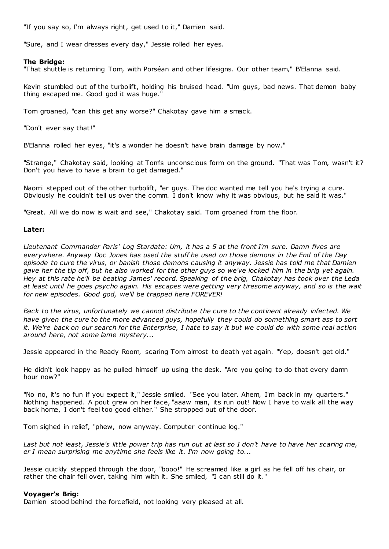"If you say so, I'm always right, get used to it," Damien said.

"Sure, and I wear dresses every day," Jessie rolled her eyes.

# **The Bridge:**

"That shuttle is returning Tom, with Porséan and other lifesigns. Our other team," B'Elanna said.

Kevin stumbled out of the turbolift, holding his bruised head. "Um guys, bad news. That demon baby thing escaped me. Good god it was huge."

Tom groaned, "can this get any worse?" Chakotay gave him a smack.

"Don't ever say that!"

B'Elanna rolled her eyes, "it's a wonder he doesn't have brain damage by now."

"Strange," Chakotay said, looking at Tom's unconscious form on the ground. "That was Tom, wasn't it? Don't you have to have a brain to get damaged."

Naomi stepped out of the other turbolift, "er guys. The doc wanted me tell you he's trying a cure. Obviously he couldn't tell us over the comm. I don't know why it was obvious, but he said it was."

"Great. All we do now is wait and see," Chakotay said. Tom groaned from the floor.

# **Later:**

*Lieutenant Commander Paris' Log Stardate: Um, it has a 5 at the front I'm sure. Damn fives are everywhere. Anyway Doc Jones has used the stuff he used on those demons in the End of the Day episode to cure the virus, or banish those demons causing it anyway. Jessie has told me that Damien gave her the tip off, but he also worked for the other guys so we've locked him in the brig yet again. Hey at this rate he'll be beating James' record. Speaking of the brig, Chakotay has took over the Leda at least until he goes psycho again. His escapes were getting very tiresome anyway, and so is the wait for new episodes. Good god, we'll be trapped here FOREVER!*

*Back to the virus, unfortunately we cannot distribute the cure to the continent already infected. We have given the cure to the more advanced guys, hopefully they could do something smart ass to sort it. We're back on our search for the Enterprise, I hate to say it but we could do with some real action around here, not some lame mystery...*

Jessie appeared in the Ready Room, scaring Tom almost to death yet again. "Yep, doesn't get old."

He didn't look happy as he pulled himself up using the desk. "Are you going to do that every damn hour now?"

"No no, it's no fun if you expect it," Jessie smiled. "See you later. Ahem, I'm back in my quarters." Nothing happened. A pout grew on her face, "aaaw man, its run out! Now I have to walk all the way back home, I don't feel too good either." She stropped out of the door.

Tom sighed in relief, "phew, now anyway. Computer continue log."

*Last but not least, Jessie's little power trip has run out at last so I don't have to have her scaring me, er I mean surprising me anytime she feels like it. I'm now going to...*

Jessie quickly stepped through the door, "booo!" He screamed like a girl as he fell off his chair, or rather the chair fell over, taking him with it. She smiled, "I can still do it."

## **Voyager's Brig:**

Damien stood behind the forcefield, not looking very pleased at all.